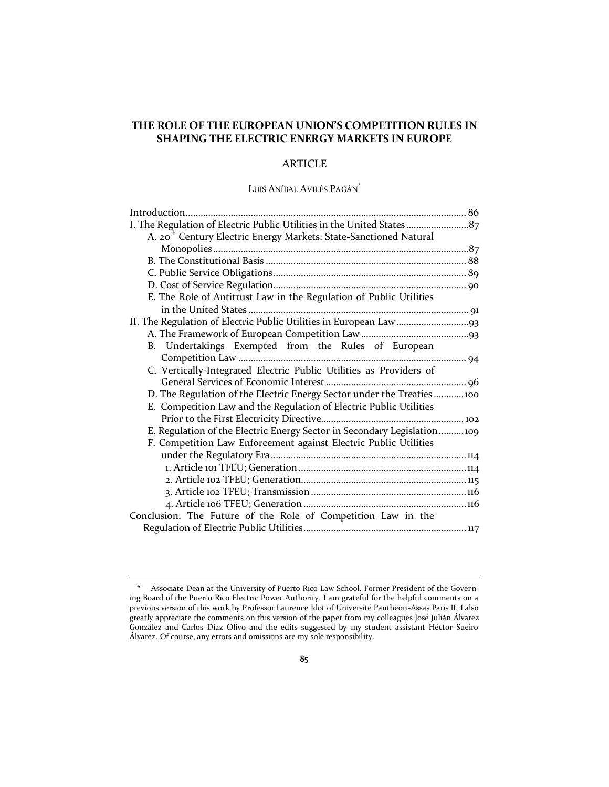# **THE ROLE OF THE EUROPEAN UNION'S COMPETITION RULES IN SHAPING THE ELECTRIC ENERGY MARKETS IN EUROPE**

# ARTICLE

# LUIS ANÍBAL AVILÉS PAGÁN<sup>\*</sup>

| I. The Regulation of Electric Public Utilities in the United States87         |  |
|-------------------------------------------------------------------------------|--|
| A. 20 <sup>th</sup> Century Electric Energy Markets: State-Sanctioned Natural |  |
|                                                                               |  |
|                                                                               |  |
|                                                                               |  |
|                                                                               |  |
| E. The Role of Antitrust Law in the Regulation of Public Utilities            |  |
|                                                                               |  |
|                                                                               |  |
|                                                                               |  |
| B. Undertakings Exempted from the Rules of European                           |  |
|                                                                               |  |
| C. Vertically-Integrated Electric Public Utilities as Providers of            |  |
|                                                                               |  |
| D. The Regulation of the Electric Energy Sector under the Treaties100         |  |
| E. Competition Law and the Regulation of Electric Public Utilities            |  |
|                                                                               |  |
| E. Regulation of the Electric Energy Sector in Secondary Legislation109       |  |
| F. Competition Law Enforcement against Electric Public Utilities              |  |
|                                                                               |  |
|                                                                               |  |
|                                                                               |  |
|                                                                               |  |
|                                                                               |  |
| Conclusion: The Future of the Role of Competition Law in the                  |  |
|                                                                               |  |

**<sup>\*</sup>** Associate Dean at the University of Puerto Rico Law School. Former President of the Governing Board of the Puerto Rico Electric Power Authority. I am grateful for the helpful comments on a previous version of this work by Professor Laurence Idot of Université Pantheon-Assas Paris II. I also greatly appreciate the comments on this version of the paper from my colleagues José Julián Álvarez González and Carlos Díaz Olivo and the edits suggested by my student assistant Héctor Sueiro Álvarez. Of course, any errors and omissions are my sole responsibility.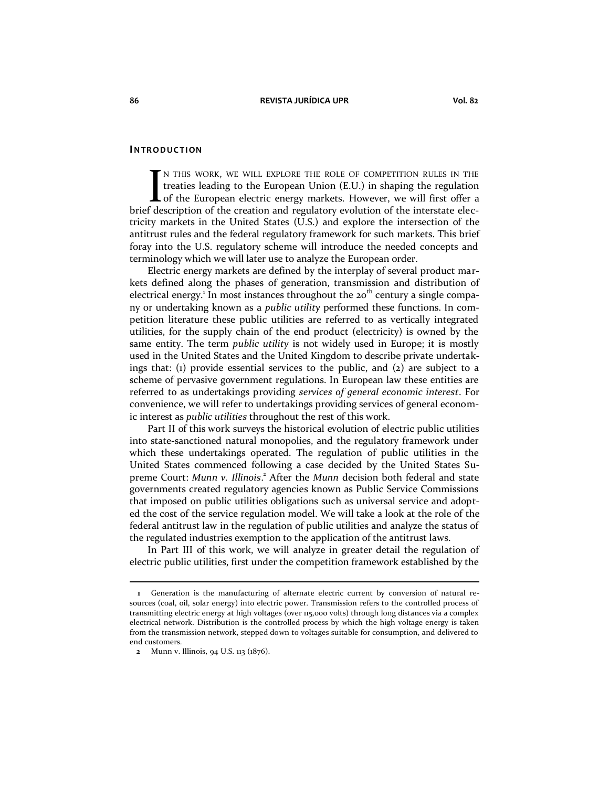N THIS WORK, WE WILL EXPLORE THE ROLE OF COMPETITION RULES IN THE treaties leading to the European Union (E.U.) in shaping the regulation of the European electric energy markets. However, we will first offer a IN THIS WORK, WE WILL EXPLORE THE ROLE OF COMPETITION RULES IN THE treaties leading to the European Union (E.U.) in shaping the regulation of the European electric energy markets. However, we will first offer a brief descr tricity markets in the United States (U.S.) and explore the intersection of the antitrust rules and the federal regulatory framework for such markets. This brief foray into the U.S. regulatory scheme will introduce the needed concepts and terminology which we will later use to analyze the European order.

Electric energy markets are defined by the interplay of several product markets defined along the phases of generation, transmission and distribution of electrical energy.<sup>1</sup> In most instances throughout the 20<sup>th</sup> century a single company or undertaking known as a *public utility* performed these functions. In competition literature these public utilities are referred to as vertically integrated utilities, for the supply chain of the end product (electricity) is owned by the same entity. The term *public utility* is not widely used in Europe; it is mostly used in the United States and the United Kingdom to describe private undertakings that: (1) provide essential services to the public, and  $(z)$  are subject to a scheme of pervasive government regulations. In European law these entities are referred to as undertakings providing *services of general economic interest*. For convenience, we will refer to undertakings providing services of general economic interest as *public utilities* throughout the rest of this work.

Part II of this work surveys the historical evolution of electric public utilities into state-sanctioned natural monopolies, and the regulatory framework under which these undertakings operated. The regulation of public utilities in the United States commenced following a case decided by the United States Supreme Court: Munn v. Illinois.<sup>2</sup> After the Munn decision both federal and state governments created regulatory agencies known as Public Service Commissions that imposed on public utilities obligations such as universal service and adopted the cost of the service regulation model. We will take a look at the role of the federal antitrust law in the regulation of public utilities and analyze the status of the regulated industries exemption to the application of the antitrust laws.

In Part III of this work, we will analyze in greater detail the regulation of electric public utilities, first under the competition framework established by the

**<sup>1</sup>** Generation is the manufacturing of alternate electric current by conversion of natural resources (coal, oil, solar energy) into electric power. Transmission refers to the controlled process of transmitting electric energy at high voltages (over 115,000 volts) through long distances via a complex electrical network. Distribution is the controlled process by which the high voltage energy is taken from the transmission network, stepped down to voltages suitable for consumption, and delivered to end customers.

**<sup>2</sup>** Munn v. Illinois, 94 U.S. 113 (1876).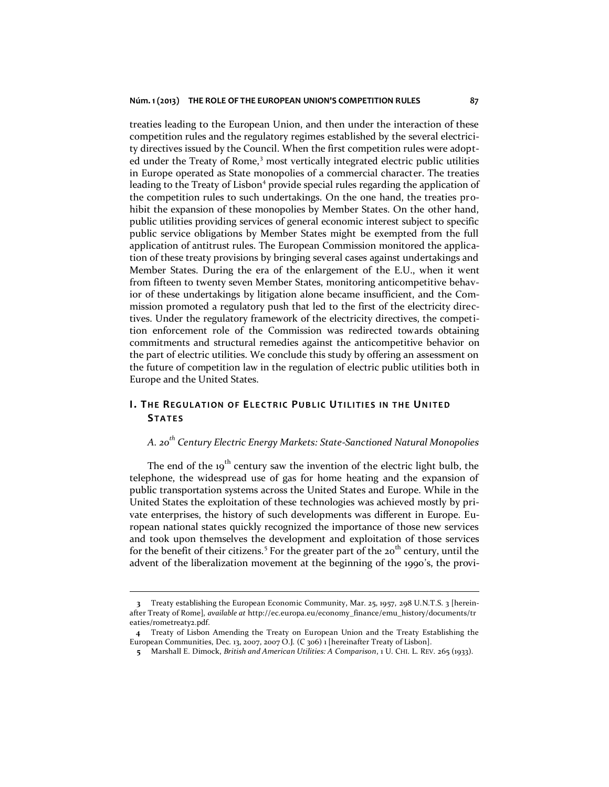treaties leading to the European Union, and then under the interaction of these competition rules and the regulatory regimes established by the several electricity directives issued by the Council. When the first competition rules were adopted under the Treaty of Rome, $3 \text{ most vertically integrated electric public utilities}$ in Europe operated as State monopolies of a commercial character. The treaties leading to the Treaty of Lisbon<sup>4</sup> provide special rules regarding the application of the competition rules to such undertakings. On the one hand, the treaties prohibit the expansion of these monopolies by Member States. On the other hand, public utilities providing services of general economic interest subject to specific public service obligations by Member States might be exempted from the full application of antitrust rules. The European Commission monitored the application of these treaty provisions by bringing several cases against undertakings and Member States. During the era of the enlargement of the E.U., when it went from fifteen to twenty seven Member States, monitoring anticompetitive behavior of these undertakings by litigation alone became insufficient, and the Commission promoted a regulatory push that led to the first of the electricity directives. Under the regulatory framework of the electricity directives, the competition enforcement role of the Commission was redirected towards obtaining commitments and structural remedies against the anticompetitive behavior on the part of electric utilities. We conclude this study by offering an assessment on the future of competition law in the regulation of electric public utilities both in Europe and the United States.

# **I.** THE REGULATION OF ELECTRIC PUBLIC UTILITIES IN THE UNITED **ST A T E S**

# *A. 20 th Century Electric Energy Markets: State-Sanctioned Natural Monopolies*

The end of the  $19<sup>th</sup>$  century saw the invention of the electric light bulb, the telephone, the widespread use of gas for home heating and the expansion of public transportation systems across the United States and Europe. While in the United States the exploitation of these technologies was achieved mostly by private enterprises, the history of such developments was different in Europe. European national states quickly recognized the importance of those new services and took upon themselves the development and exploitation of those services for the benefit of their citizens.<sup>5</sup> For the greater part of the 20<sup>th</sup> century, until the advent of the liberalization movement at the beginning of the 1990's, the provi-

**<sup>3</sup>** Treaty establishing the European Economic Community, Mar. 25, 1957, 298 U.N.T.S. 3 [hereinafter Treaty of Rome], *available at* http://ec.europa.eu/economy\_finance/emu\_history/documents/tr eaties/rometreaty2.pdf.

**<sup>4</sup>** Treaty of Lisbon Amending the Treaty on European Union and the Treaty Establishing the European Communities, Dec. 13, 2007, 2007 O.J. (C 306) 1 [hereinafter Treaty of Lisbon].

**<sup>5</sup>** Marshall E. Dimock, *British and American Utilities: A Comparison*, 1 U. CHI. L. REV. 265 (1933).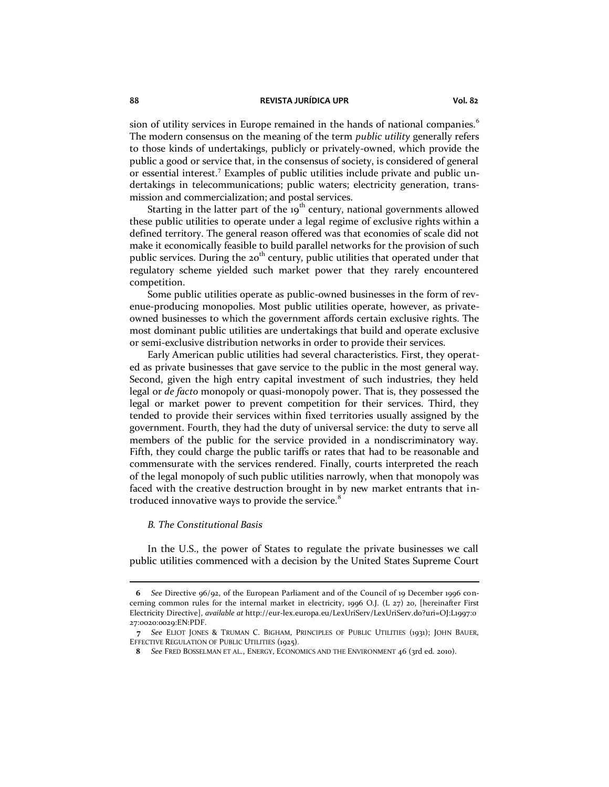sion of utility services in Europe remained in the hands of national companies.<sup>6</sup> The modern consensus on the meaning of the term *public utility* generally refers to those kinds of undertakings, publicly or privately-owned, which provide the public a good or service that, in the consensus of society, is considered of general or essential interest.<sup>7</sup> Examples of public utilities include private and public undertakings in telecommunications; public waters; electricity generation, transmission and commercialization; and postal services.

Starting in the latter part of the  $19<sup>th</sup>$  century, national governments allowed these public utilities to operate under a legal regime of exclusive rights within a defined territory. The general reason offered was that economies of scale did not make it economically feasible to build parallel networks for the provision of such public services. During the  $20<sup>th</sup>$  century, public utilities that operated under that regulatory scheme yielded such market power that they rarely encountered competition.

Some public utilities operate as public-owned businesses in the form of revenue-producing monopolies. Most public utilities operate, however, as privateowned businesses to which the government affords certain exclusive rights. The most dominant public utilities are undertakings that build and operate exclusive or semi-exclusive distribution networks in order to provide their services.

Early American public utilities had several characteristics. First, they operated as private businesses that gave service to the public in the most general way. Second, given the high entry capital investment of such industries, they held legal or *de facto* monopoly or quasi-monopoly power. That is, they possessed the legal or market power to prevent competition for their services. Third, they tended to provide their services within fixed territories usually assigned by the government. Fourth, they had the duty of universal service: the duty to serve all members of the public for the service provided in a nondiscriminatory way. Fifth, they could charge the public tariffs or rates that had to be reasonable and commensurate with the services rendered. Finally, courts interpreted the reach of the legal monopoly of such public utilities narrowly, when that monopoly was faced with the creative destruction brought in by new market entrants that introduced innovative ways to provide the service.<sup>8</sup>

### *B. The Constitutional Basis*

In the U.S., the power of States to regulate the private businesses we call public utilities commenced with a decision by the United States Supreme Court

**<sup>6</sup>** *See* Directive 96/92, of the European Parliament and of the Council of 19 December 1996 concerning common rules for the internal market in electricity, 1996 O.J. (L 27) 20, [hereinafter First Electricity Directive], *available at* http://eur-lex.europa.eu/LexUriServ/LexUriServ.do?uri=OJ:L1997:0 27:0020:0029:EN:PDF.

**<sup>7</sup>** *See* ELIOT JONES & TRUMAN C. BIGHAM, PRINCIPLES OF PUBLIC UTILITIES (1931); JOHN BAUER, EFFECTIVE REGULATION OF PUBLIC UTILITIES (1925).

**<sup>8</sup>** *See* FRED BOSSELMAN ET AL., ENERGY, ECONOMICS AND THE ENVIRONMENT 46 (3rd ed. 2010).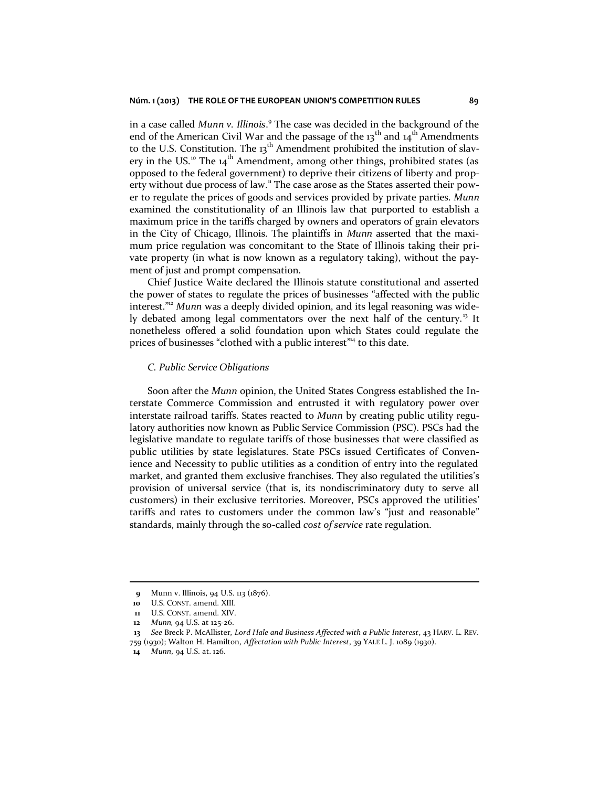in a case called Munn v. Illinois.<sup>9</sup> The case was decided in the background of the end of the American Civil War and the passage of the  $13<sup>th</sup>$  and  $14<sup>th</sup>$  Amendments to the U.S. Constitution. The  $13<sup>th</sup>$  Amendment prohibited the institution of slavery in the US.<sup>10</sup> The 14<sup>th</sup> Amendment, among other things, prohibited states (as opposed to the federal government) to deprive their citizens of liberty and property without due process of law.<sup>11</sup> The case arose as the States asserted their power to regulate the prices of goods and services provided by private parties. *Munn* examined the constitutionality of an Illinois law that purported to establish a maximum price in the tariffs charged by owners and operators of grain elevators in the City of Chicago, Illinois. The plaintiffs in *Munn* asserted that the maximum price regulation was concomitant to the State of Illinois taking their private property (in what is now known as a regulatory taking), without the payment of just and prompt compensation.

Chief Justice Waite declared the Illinois statute constitutional and asserted the power of states to regulate the prices of businesses "affected with the public interest." <sup>12</sup> *Munn* was a deeply divided opinion, and its legal reasoning was widely debated among legal commentators over the next half of the century.<sup>13</sup> It nonetheless offered a solid foundation upon which States could regulate the prices of businesses "clothed with a public interest"<sup>44</sup> to this date.

### *C. Public Service Obligations*

Soon after the *Munn* opinion, the United States Congress established the Interstate Commerce Commission and entrusted it with regulatory power over interstate railroad tariffs. States reacted to *Munn* by creating public utility regulatory authorities now known as Public Service Commission (PSC). PSCs had the legislative mandate to regulate tariffs of those businesses that were classified as public utilities by state legislatures. State PSCs issued Certificates of Convenience and Necessity to public utilities as a condition of entry into the regulated market, and granted them exclusive franchises. They also regulated the utilities's provision of universal service (that is, its nondiscriminatory duty to serve all customers) in their exclusive territories. Moreover, PSCs approved the utilities' tariffs and rates to customers under the common law's "just and reasonable" standards, mainly through the so-called *cost of service* rate regulation.

**<sup>9</sup>** Munn v. Illinois, 94 U.S. 113 (1876).

**<sup>10</sup>** U.S. CONST. amend. XIII.

**<sup>11</sup>** U.S. CONST. amend. XIV.

**<sup>12</sup>** *Munn,* 94 U.S. at 125-26.

**<sup>13</sup>** *See* Breck P. McAllister, *Lord Hale and Business Affected with a Public Interest*, 43 HARV. L. REV.

<sup>759 (1930);</sup> Walton H. Hamilton, *Affectation with Public Interest*, 39 YALE L. J. 1089 (1930).

**<sup>14</sup>** *Munn*, 94 U.S. at. 126.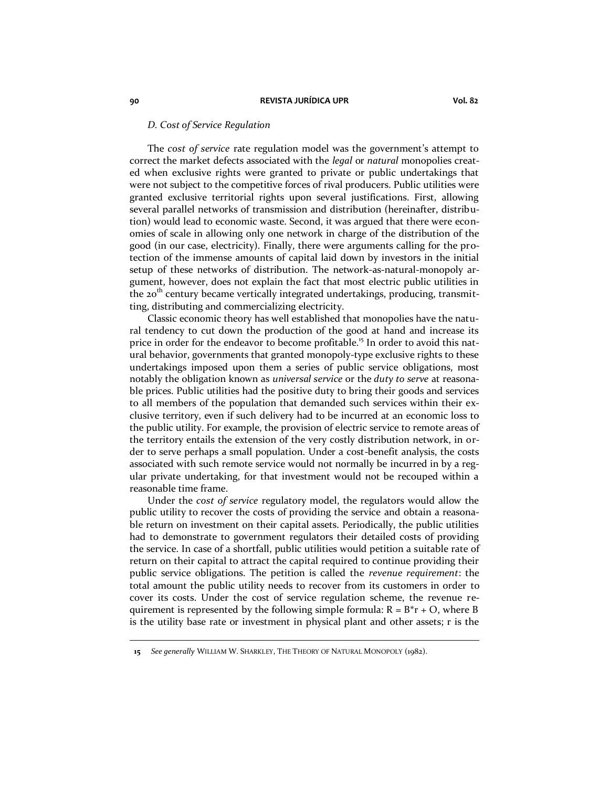The *cost of service* rate regulation model was the government's attempt to correct the market defects associated with the *legal* or *natural* monopolies created when exclusive rights were granted to private or public undertakings that were not subject to the competitive forces of rival producers. Public utilities were granted exclusive territorial rights upon several justifications. First, allowing several parallel networks of transmission and distribution (hereinafter, distribution) would lead to economic waste. Second, it was argued that there were economies of scale in allowing only one network in charge of the distribution of the good (in our case, electricity). Finally, there were arguments calling for the protection of the immense amounts of capital laid down by investors in the initial setup of these networks of distribution. The network-as-natural-monopoly argument, however, does not explain the fact that most electric public utilities in the 20<sup>th</sup> century became vertically integrated undertakings, producing, transmitting, distributing and commercializing electricity.

Classic economic theory has well established that monopolies have the natural tendency to cut down the production of the good at hand and increase its price in order for the endeavor to become profitable.<sup>15</sup> In order to avoid this natural behavior, governments that granted monopoly-type exclusive rights to these undertakings imposed upon them a series of public service obligations, most notably the obligation known as *universal service* or the *duty to serve* at reasonable prices. Public utilities had the positive duty to bring their goods and services to all members of the population that demanded such services within their exclusive territory, even if such delivery had to be incurred at an economic loss to the public utility. For example, the provision of electric service to remote areas of the territory entails the extension of the very costly distribution network, in order to serve perhaps a small population. Under a cost-benefit analysis, the costs associated with such remote service would not normally be incurred in by a regular private undertaking, for that investment would not be recouped within a reasonable time frame.

Under the *cost of service* regulatory model, the regulators would allow the public utility to recover the costs of providing the service and obtain a reasonable return on investment on their capital assets. Periodically, the public utilities had to demonstrate to government regulators their detailed costs of providing the service. In case of a shortfall, public utilities would petition a suitable rate of return on their capital to attract the capital required to continue providing their public service obligations. The petition is called the *revenue requirement*: the total amount the public utility needs to recover from its customers in order to cover its costs. Under the cost of service regulation scheme, the revenue requirement is represented by the following simple formula:  $R = B^*r + O$ , where B is the utility base rate or investment in physical plant and other assets; r is the

**<sup>15</sup>** *See generally* WILLIAM W. SHARKLEY, THE THEORY OF NATURAL MONOPOLY (1982).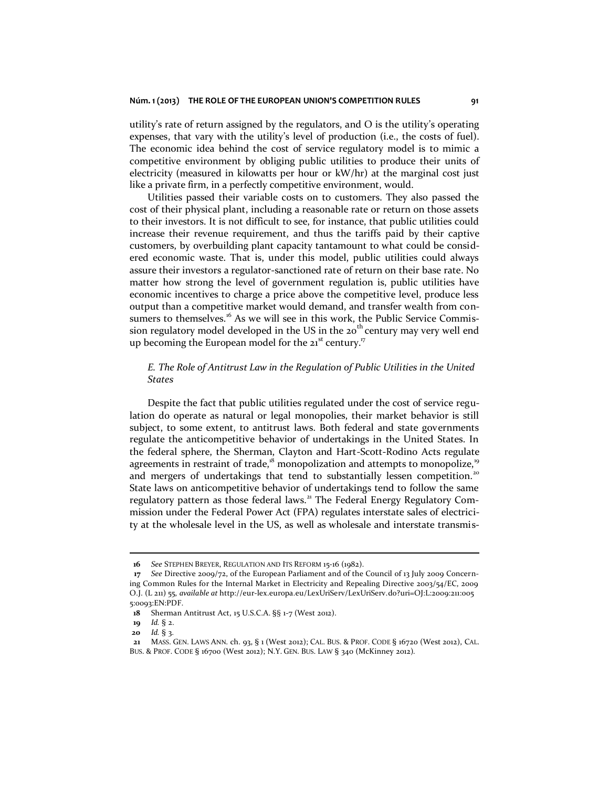utility's rate of return assigned by the regulators, and O is the utility's operating expenses, that vary with the utility's level of production (i.e., the costs of fuel). The economic idea behind the cost of service regulatory model is to mimic a competitive environment by obliging public utilities to produce their units of electricity (measured in kilowatts per hour or kW/hr) at the marginal cost just like a private firm, in a perfectly competitive environment, would.

Utilities passed their variable costs on to customers. They also passed the cost of their physical plant, including a reasonable rate or return on those assets to their investors. It is not difficult to see, for instance, that public utilities could increase their revenue requirement, and thus the tariffs paid by their captive customers, by overbuilding plant capacity tantamount to what could be considered economic waste. That is, under this model, public utilities could always assure their investors a regulator-sanctioned rate of return on their base rate. No matter how strong the level of government regulation is, public utilities have economic incentives to charge a price above the competitive level, produce less output than a competitive market would demand, and transfer wealth from consumers to themselves.<sup>16</sup> As we will see in this work, the Public Service Commission regulatory model developed in the US in the 20<sup>th</sup> century may very well end up becoming the European model for the  $21^{st}$  century.<sup>17</sup>

# *E. The Role of Antitrust Law in the Regulation of Public Utilities in the United States*

Despite the fact that public utilities regulated under the cost of service regulation do operate as natural or legal monopolies, their market behavior is still subject, to some extent, to antitrust laws. Both federal and state governments regulate the anticompetitive behavior of undertakings in the United States. In the federal sphere, the Sherman, Clayton and Hart-Scott-Rodino Acts regulate agreements in restraint of trade,<sup>18</sup> monopolization and attempts to monopolize,<sup>19</sup> and mergers of undertakings that tend to substantially lessen competition.<sup>20</sup> State laws on anticompetitive behavior of undertakings tend to follow the same regulatory pattern as those federal laws.<sup>21</sup> The Federal Energy Regulatory Commission under the Federal Power Act (FPA) regulates interstate sales of electricity at the wholesale level in the US, as well as wholesale and interstate transmis-

**<sup>16</sup>** *See* STEPHEN BREYER, REGULATION AND ITS REFORM 15-16 (1982).

**<sup>17</sup>** *See* Directive 2009/72, of the European Parliament and of the Council of 13 July 2009 Concerning Common Rules for the Internal Market in Electricity and Repealing Directive 2003/54/EC, 2009 O.J. (L 211) 55, *available at* http://eur-lex.europa.eu/LexUriServ/LexUriServ.do?uri=OJ:L:2009:211:005 5:0093:EN:PDF.

**<sup>18</sup>** Sherman Antitrust Act, 15 U.S.C.A. §§ 1-7 (West 2012).

**<sup>19</sup>** *Id.* § 2.

**<sup>20</sup>** *Id.* § 3.

**<sup>21</sup>** MASS. GEN. LAWS ANN. ch. 93, § 1 (West 2012); CAL. BUS. & PROF. CODE § 16720 (West 2012), CAL. BUS. & PROF. CODE § 16700 (West 2012); N.Y. GEN. BUS. LAW § 340 (McKinney 2012).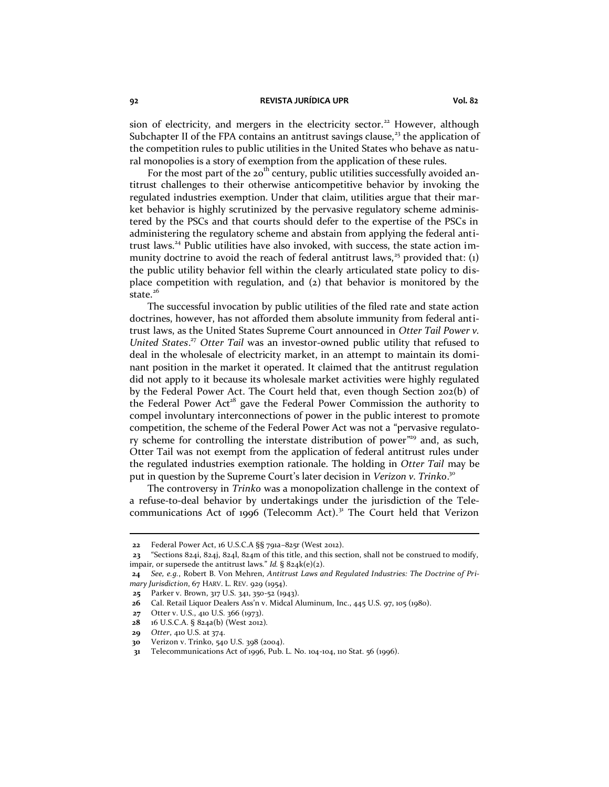sion of electricity, and mergers in the electricity sector.<sup>22</sup> However, although Subchapter II of the FPA contains an antitrust savings clause,<sup>23</sup> the application of the competition rules to public utilities in the United States who behave as natural monopolies is a story of exemption from the application of these rules.

For the most part of the 20<sup>th</sup> century, public utilities successfully avoided antitrust challenges to their otherwise anticompetitive behavior by invoking the regulated industries exemption. Under that claim, utilities argue that their market behavior is highly scrutinized by the pervasive regulatory scheme administered by the PSCs and that courts should defer to the expertise of the PSCs in administering the regulatory scheme and abstain from applying the federal antitrust laws.<sup>24</sup> Public utilities have also invoked, with success, the state action immunity doctrine to avoid the reach of federal antitrust laws,<sup>25</sup> provided that:  $(i)$ the public utility behavior fell within the clearly articulated state policy to displace competition with regulation, and (2) that behavior is monitored by the state.<sup>26</sup>

The successful invocation by public utilities of the filed rate and state action doctrines, however, has not afforded them absolute immunity from federal antitrust laws, as the United States Supreme Court announced in *Otter Tail Power v. United States*. <sup>27</sup> *Otter Tail* was an investor-owned public utility that refused to deal in the wholesale of electricity market, in an attempt to maintain its dominant position in the market it operated. It claimed that the antitrust regulation did not apply to it because its wholesale market activities were highly regulated by the Federal Power Act. The Court held that, even though Section 202(b) of the Federal Power Act<sup>28</sup> gave the Federal Power Commission the authority to compel involuntary interconnections of power in the public interest to promote competition, the scheme of the Federal Power Act was not a "pervasive regulatory scheme for controlling the interstate distribution of power<sup>729</sup> and, as such, Otter Tail was not exempt from the application of federal antitrust rules under the regulated industries exemption rationale. The holding in *Otter Tail* may be put in question by the Supreme Court's later decision in *Verizon v. Trinko*.<sup>30</sup>

The controversy in *Trinko* was a monopolization challenge in the context of a refuse-to-deal behavior by undertakings under the jurisdiction of the Telecommunications Act of 1996 (Telecomm Act).<sup>31</sup> The Court held that Verizon

**<sup>22</sup>** Federal Power Act, 16 U.S.C.A §§ 791a–825r (West 2012).

**<sup>23</sup>** "Sections 824i, 824j, 824l, 824m of this title, and this section, shall not be construed to modify, impair, or supersede the antitrust laws." *Id.* § 824k(e)(2).

**<sup>24</sup>** *See, e.g.*, Robert B. Von Mehren, *Antitrust Laws and Regulated Industries: The Doctrine of Primary Jurisdiction*, 67 HARV. L. REV. 929 (1954).

**<sup>25</sup>** Parker v. Brown, 317 U.S. 341, 350-52 (1943).

**<sup>26</sup>** Cal. Retail Liquor Dealers Ass'n v. Midcal Aluminum, Inc., 445 U.S. 97, 105 (1980).

**<sup>27</sup>** Otter v. U.S., 410 U.S. 366 (1973).

**<sup>28</sup>** 16 U.S.C.A. § 824a(b) (West 2012).

**<sup>29</sup>** *Otter*, 410 U.S. at 374.

**<sup>30</sup>** Verizon v. Trinko, 540 U.S. 398 (2004).

**<sup>31</sup>** Telecommunications Act of 1996, Pub. L. No. 104-104, 110 Stat. 56 (1996).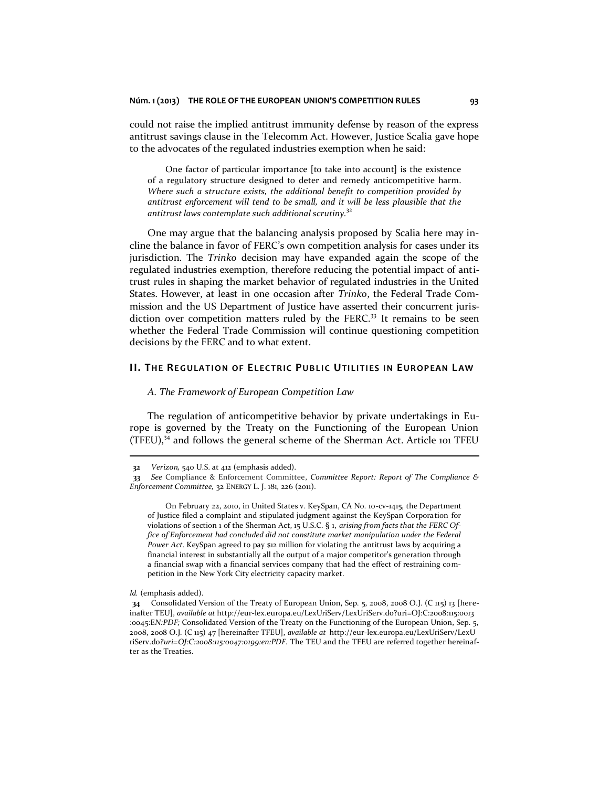could not raise the implied antitrust immunity defense by reason of the express antitrust savings clause in the Telecomm Act. However, Justice Scalia gave hope to the advocates of the regulated industries exemption when he said:

One factor of particular importance [to take into account] is the existence of a regulatory structure designed to deter and remedy anticompetitive harm. *Where such a structure exists, the additional benefit to competition provided by antitrust enforcement will tend to be small, and it will be less plausible that the antitrust laws contemplate such additional scrutiny.*<sup>32</sup>

One may argue that the balancing analysis proposed by Scalia here may incline the balance in favor of FERC's own competition analysis for cases under its jurisdiction. The *Trinko* decision may have expanded again the scope of the regulated industries exemption, therefore reducing the potential impact of antitrust rules in shaping the market behavior of regulated industries in the United States. However, at least in one occasion after *Trinko*, the Federal Trade Commission and the US Department of Justice have asserted their concurrent jurisdiction over competition matters ruled by the FERC.<sup>33</sup> It remains to be seen whether the Federal Trade Commission will continue questioning competition decisions by the FERC and to what extent.

## **II. THE RE G ULA T I ON OF EL EC T R IC PUB L I C UTI L I T I ES I N EUR OP EAN LAW**

#### *A. The Framework of European Competition Law*

The regulation of anticompetitive behavior by private undertakings in Europe is governed by the Treaty on the Functioning of the European Union (TFEU), <sup>34</sup> and follows the general scheme of the Sherman Act. Article 101 TFEU

**<sup>32</sup>** *Verizon,* 540 U.S. at 412 (emphasis added).

**<sup>33</sup>** *See* Compliance & Enforcement Committee, *Committee Report: Report of The Compliance & Enforcement Committee,* 32 ENERGY L. J. 181, 226 (2011).

On February 22, 2010, in United States v. KeySpan, CA No. 10-cv-1415, the Department of Justice filed a complaint and stipulated judgment against the KeySpan Corporation for violations of section 1 of the Sherman Act, 15 U.S.C. § 1, *arising from facts that the FERC Office of Enforcement had concluded did not constitute market manipulation under the Federal Power Act*. KeySpan agreed to pay \$12 million for violating the antitrust laws by acquiring a financial interest in substantially all the output of a major competitor's generation through a financial swap with a financial services company that had the effect of restraining competition in the New York City electricity capacity market.

*Id.* (emphasis added).

**<sup>34</sup>** Consolidated Version of the Treaty of European Union, Sep. 5, 2008, 2008 O.J. (C 115) 13 [hereinafter TEU], *available at* http://eur-lex.europa.eu/LexUriServ/LexUriServ.do?uri=OJ:C:2008:115:0013 :0045:E*N:PDF;* Consolidated Version of the Treaty on the Functioning of the European Union, Sep. 5, 2008, 2008 O.J. (C 115) 47 [hereinafter TFEU], *available at* http://eur-lex.europa.eu/LexUriServ/LexU riServ.do*?uri=OJ:C:2008:115:0047:0199:en:PDF.* The TEU and the TFEU are referred together hereinafter as the Treaties.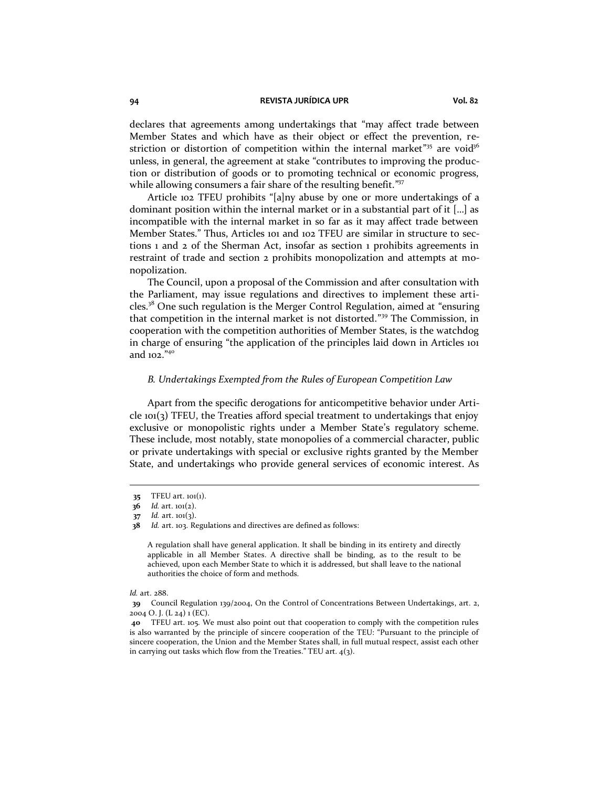declares that agreements among undertakings that "may affect trade between Member States and which have as their object or effect the prevention, restriction or distortion of competition within the internal market"<sup>35</sup> are void<sup>36</sup> unless, in general, the agreement at stake "contributes to improving the production or distribution of goods or to promoting technical or economic progress, while allowing consumers a fair share of the resulting benefit."<sup>37</sup>

Article 102 TFEU prohibits "[a]ny abuse by one or more undertakings of a dominant position within the internal market or in a substantial part of it […] as incompatible with the internal market in so far as it may affect trade between Member States." Thus, Articles 101 and 102 TFEU are similar in structure to sections 1 and 2 of the Sherman Act, insofar as section 1 prohibits agreements in restraint of trade and section 2 prohibits monopolization and attempts at monopolization.

The Council, upon a proposal of the Commission and after consultation with the Parliament, may issue regulations and directives to implement these articles.<sup>38</sup> One such regulation is the Merger Control Regulation, aimed at "ensuring that competition in the internal market is not distorted." <sup>39</sup> The Commission, in cooperation with the competition authorities of Member States, is the watchdog in charge of ensuring "the application of the principles laid down in Articles 101 and 102." 40

## *B. Undertakings Exempted from the Rules of European Competition Law*

Apart from the specific derogations for anticompetitive behavior under Article 101(3) TFEU, the Treaties afford special treatment to undertakings that enjoy exclusive or monopolistic rights under a Member State's regulatory scheme. These include, most notably, state monopolies of a commercial character, public or private undertakings with special or exclusive rights granted by the Member State, and undertakings who provide general services of economic interest. As

A regulation shall have general application. It shall be binding in its entirety and directly applicable in all Member States. A directive shall be binding, as to the result to be achieved, upon each Member State to which it is addressed, but shall leave to the national authorities the choice of form and methods.

**<sup>35</sup>** TFEU art. 101(1).

**<sup>36</sup>** *Id.* art. 101(2).

**<sup>37</sup>** *Id.* art. 101(3).

**<sup>38</sup>** *Id.* art. 103. Regulations and directives are defined as follows:

*Id.* art. 288.

**<sup>39</sup>** Council Regulation 139/2004, On the Control of Concentrations Between Undertakings, art. 2, 2004 O. J. (L 24) 1 (EC).

**<sup>40</sup>** TFEU art. 105. We must also point out that cooperation to comply with the competition rules is also warranted by the principle of sincere cooperation of the TEU: "Pursuant to the principle of sincere cooperation, the Union and the Member States shall, in full mutual respect, assist each other in carrying out tasks which flow from the Treaties." TEU art. 4(3).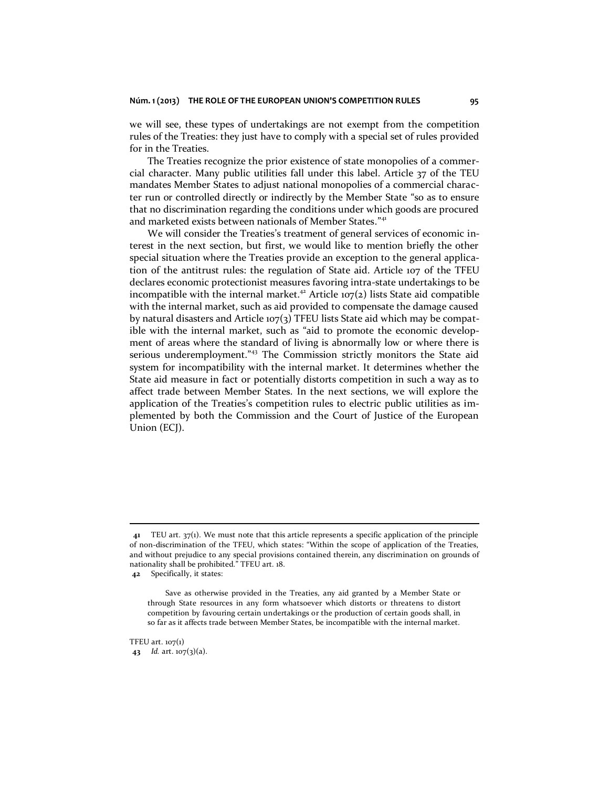we will see, these types of undertakings are not exempt from the competition rules of the Treaties: they just have to comply with a special set of rules provided for in the Treaties.

The Treaties recognize the prior existence of state monopolies of a commercial character. Many public utilities fall under this label. Article 37 of the TEU mandates Member States to adjust national monopolies of a commercial character run or controlled directly or indirectly by the Member State "so as to ensure that no discrimination regarding the conditions under which goods are procured and marketed exists between nationals of Member States."<sup>41</sup>

We will consider the Treaties's treatment of general services of economic interest in the next section, but first, we would like to mention briefly the other special situation where the Treaties provide an exception to the general application of the antitrust rules: the regulation of State aid. Article 107 of the TFEU declares economic protectionist measures favoring intra-state undertakings to be incompatible with the internal market.<sup>42</sup> Article 107(2) lists State aid compatible with the internal market, such as aid provided to compensate the damage caused by natural disasters and Article  $107(3)$  TFEU lists State aid which may be compatible with the internal market, such as "aid to promote the economic development of areas where the standard of living is abnormally low or where there is serious underemployment."<sup>43</sup> The Commission strictly monitors the State aid system for incompatibility with the internal market. It determines whether the State aid measure in fact or potentially distorts competition in such a way as to affect trade between Member States. In the next sections, we will explore the application of the Treaties's competition rules to electric public utilities as implemented by both the Commission and the Court of Justice of the European Union (ECJ).

**<sup>41</sup>** TEU art. 37(1). We must note that this article represents a specific application of the principle of non-discrimination of the TFEU, which states: "Within the scope of application of the Treaties, and without prejudice to any special provisions contained therein, any discrimination on grounds of nationality shall be prohibited." TFEU art. 18.

**<sup>42</sup>** Specifically, it states:

Save as otherwise provided in the Treaties, any aid granted by a Member State or through State resources in any form whatsoever which distorts or threatens to distort competition by favouring certain undertakings or the production of certain goods shall, in so far as it affects trade between Member States, be incompatible with the internal market.

TFEU art.  $107(1)$ **43** *Id.* art. 107(3)(a).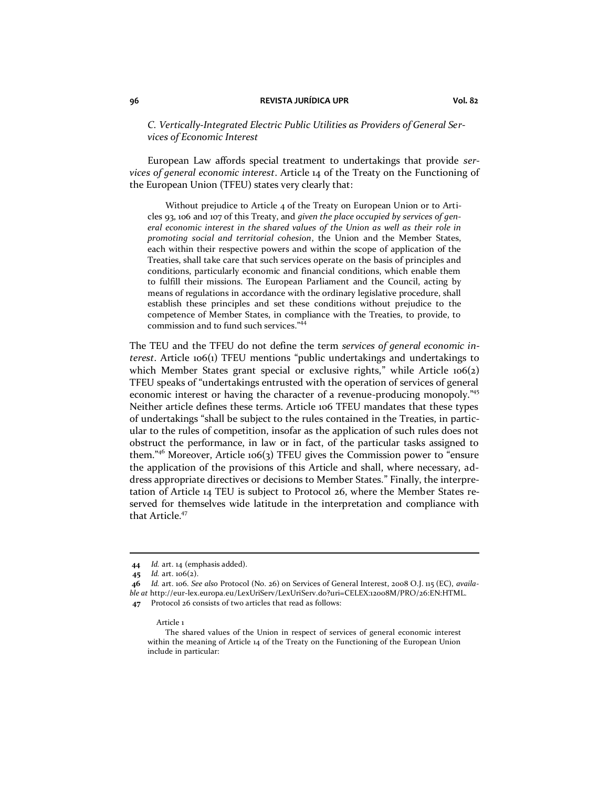*C. Vertically-Integrated Electric Public Utilities as Providers of General Services of Economic Interest*

European Law affords special treatment to undertakings that provide *services of general economic interest*. Article 14 of the Treaty on the Functioning of the European Union (TFEU) states very clearly that:

Without prejudice to Article 4 of the Treaty on European Union or to Articles 93, 106 and 107 of this Treaty, and *given the place occupied by services of general economic interest in the shared values of the Union as well as their role in promoting social and territorial cohesion*, the Union and the Member States, each within their respective powers and within the scope of application of the Treaties, shall take care that such services operate on the basis of principles and conditions, particularly economic and financial conditions, which enable them to fulfill their missions. The European Parliament and the Council, acting by means of regulations in accordance with the ordinary legislative procedure, shall establish these principles and set these conditions without prejudice to the competence of Member States, in compliance with the Treaties, to provide, to commission and to fund such services."<sup>44</sup>

The TEU and the TFEU do not define the term *services of general economic interest*. Article 106(1) TFEU mentions "public undertakings and undertakings to which Member States grant special or exclusive rights," while Article  $106(2)$ TFEU speaks of "undertakings entrusted with the operation of services of general economic interest or having the character of a revenue-producing monopoly."45 Neither article defines these terms. Article 106 TFEU mandates that these types of undertakings "shall be subject to the rules contained in the Treaties, in particular to the rules of competition, insofar as the application of such rules does not obstruct the performance, in law or in fact, of the particular tasks assigned to them." <sup>46</sup> Moreover, Article 106(3) TFEU gives the Commission power to "ensure the application of the provisions of this Article and shall, where necessary, address appropriate directives or decisions to Member States." Finally, the interpretation of Article 14 TEU is subject to Protocol 26, where the Member States reserved for themselves wide latitude in the interpretation and compliance with that Article.<sup>47</sup>

**<sup>44</sup>** *Id.* art. 14 (emphasis added).

**<sup>45</sup>** *Id.* art. 106(2).

**<sup>46</sup>** *Id.* art. 106. *See also* Protocol (No. 26) on Services of General Interest, 2008 O.J. 115 (EC), *available at* http://eur-lex.europa.eu/LexUriServ/LexUriServ.do?uri=CELEX:12008M/PRO/26:EN:HTML. **47** Protocol 26 consists of two articles that read as follows:

Article 1

The shared values of the Union in respect of services of general economic interest within the meaning of Article 14 of the Treaty on the Functioning of the European Union include in particular: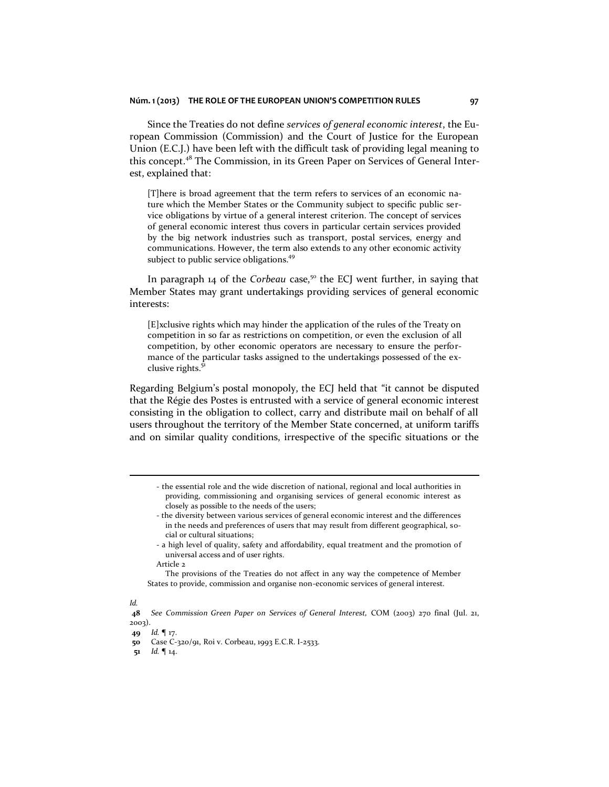Since the Treaties do not define *services of general economic interest*, the European Commission (Commission) and the Court of Justice for the European Union (E.C.J.) have been left with the difficult task of providing legal meaning to this concept. <sup>48</sup> The Commission, in its Green Paper on Services of General Interest, explained that:

[T]here is broad agreement that the term refers to services of an economic nature which the Member States or the Community subject to specific public service obligations by virtue of a general interest criterion. The concept of services of general economic interest thus covers in particular certain services provided by the big network industries such as transport, postal services, energy and communications. However, the term also extends to any other economic activity subject to public service obligations.<sup>49</sup>

In paragraph 14 of the *Corbeau* case,<sup>50</sup> the ECJ went further, in saying that Member States may grant undertakings providing services of general economic interests:

[E]xclusive rights which may hinder the application of the rules of the Treaty on competition in so far as restrictions on competition, or even the exclusion of all competition, by other economic operators are necessary to ensure the performance of the particular tasks assigned to the undertakings possessed of the exclusive rights. $51$ 

Regarding Belgium's postal monopoly, the ECJ held that "it cannot be disputed that the Régie des Postes is entrusted with a service of general economic interest consisting in the obligation to collect, carry and distribute mail on behalf of all users throughout the territory of the Member State concerned, at uniform tariffs and on similar quality conditions, irrespective of the specific situations or the

The provisions of the Treaties do not affect in any way the competence of Member States to provide, commission and organise non-economic services of general interest.

#### *Id.*

- **50** Case C-320/91, Roi v. Corbeau, 1993 E.C.R. I-2533.
- **51** *Id.* ¶ 14.

<sup>-</sup> the essential role and the wide discretion of national, regional and local authorities in providing, commissioning and organising services of general economic interest as closely as possible to the needs of the users;

<sup>-</sup> the diversity between various services of general economic interest and the differences in the needs and preferences of users that may result from different geographical, social or cultural situations;

<sup>-</sup> a high level of quality, safety and affordability, equal treatment and the promotion of universal access and of user rights.

Article 2

**<sup>48</sup>** *See Commission Green Paper on Services of General Interest,* COM (2003) 270 final (Jul. 21, 2003).

**<sup>49</sup>** *Id.* ¶ 17.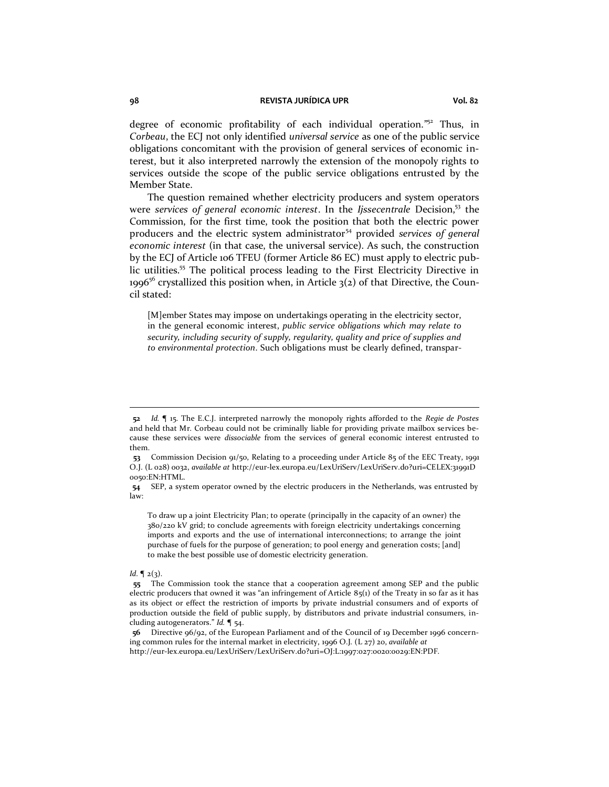degree of economic profitability of each individual operation."<sup>52</sup> Thus, in *Corbeau*, the ECJ not only identified *universal service* as one of the public service obligations concomitant with the provision of general services of economic interest, but it also interpreted narrowly the extension of the monopoly rights to services outside the scope of the public service obligations entrusted by the Member State.

The question remained whether electricity producers and system operators were *services of general economic interest*. In the *Ijssecentrale* Decision,<sup>53</sup> the Commission, for the first time, took the position that both the electric power producers and the electric system administrator<sup>54</sup> provided *services of general economic interest* (in that case, the universal service). As such, the construction by the ECJ of Article 106 TFEU (former Article 86 EC) must apply to electric public utilities.<sup>55</sup> The political process leading to the First Electricity Directive in 1996<sup>56</sup> crystallized this position when, in Article  $3(2)$  of that Directive, the Council stated:

[M]ember States may impose on undertakings operating in the electricity sector, in the general economic interest, *public service obligations which may relate to security, including security of supply, regularity, quality and price of supplies and to environmental protection*. Such obligations must be clearly defined, transpar-

**<sup>52</sup>** *Id.* ¶ 15. The E.C.J. interpreted narrowly the monopoly rights afforded to the *Regie de Postes* and held that Mr. Corbeau could not be criminally liable for providing private mailbox services because these services were *dissociable* from the services of general economic interest entrusted to them.

**<sup>53</sup>** Commission Decision 91/50, Relating to a proceeding under Article 85 of the EEC Treaty, 1991 O.J. (L 028) 0032, *available at* http://eur-lex.europa.eu/LexUriServ/LexUriServ.do?uri=CELEX:31991D 0050:EN:HTML.

**<sup>54</sup>** SEP, a system operator owned by the electric producers in the Netherlands, was entrusted by law:

To draw up a joint Electricity Plan; to operate (principally in the capacity of an owner) the 380/220 kV grid; to conclude agreements with foreign electricity undertakings concerning imports and exports and the use of international interconnections; to arrange the joint purchase of fuels for the purpose of generation; to pool energy and generation costs; [and] to make the best possible use of domestic electricity generation.

*Id*. **[** 2(3).

**<sup>55</sup>** The Commission took the stance that a cooperation agreement among SEP and the public electric producers that owned it was "an infringement of Article 85(1) of the Treaty in so far as it has as its object or effect the restriction of imports by private industrial consumers and of exports of production outside the field of public supply, by distributors and private industrial consumers, including autogenerators." *Id.* ¶ 54.

**<sup>56</sup>** Directive 96/92, of the European Parliament and of the Council of 19 December 1996 concerning common rules for the internal market in electricity, 1996 O.J. (L 27) 20, *available at* http://eur-lex.europa.eu/LexUriServ/LexUriServ.do?uri=OJ:L:1997:027:0020:0029:EN:PDF.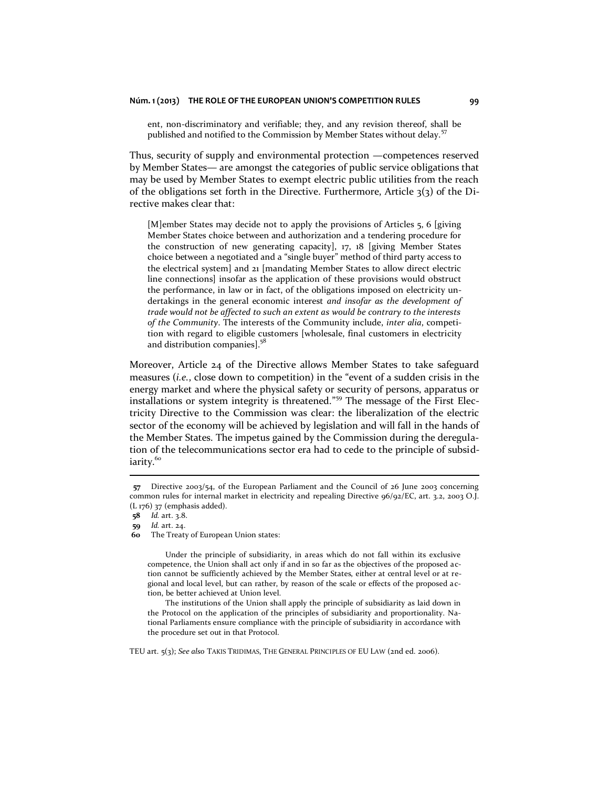ent, non-discriminatory and verifiable; they, and any revision thereof, shall be published and notified to the Commission by Member States without delay.<sup>57</sup>

Thus, security of supply and environmental protection —competences reserved by Member States— are amongst the categories of public service obligations that may be used by Member States to exempt electric public utilities from the reach of the obligations set forth in the Directive. Furthermore, Article  $3(3)$  of the Directive makes clear that:

[M]ember States may decide not to apply the provisions of Articles 5, 6 [giving Member States choice between and authorization and a tendering procedure for the construction of new generating capacity], 17, 18 [giving Member States choice between a negotiated and a "single buyer" method of third party access to the electrical system] and 21 [mandating Member States to allow direct electric line connections] insofar as the application of these provisions would obstruct the performance, in law or in fact, of the obligations imposed on electricity undertakings in the general economic interest *and insofar as the development of trade would not be affected to such an extent as would be contrary to the interests of the Community*. The interests of the Community include, *inter alia*, competition with regard to eligible customers [wholesale, final customers in electricity and distribution companies].<sup>58</sup>

Moreover, Article 24 of the Directive allows Member States to take safeguard measures (*i.e.*, close down to competition) in the "event of a sudden crisis in the energy market and where the physical safety or security of persons, apparatus or installations or system integrity is threatened." <sup>59</sup> The message of the First Electricity Directive to the Commission was clear: the liberalization of the electric sector of the economy will be achieved by legislation and will fall in the hands of the Member States. The impetus gained by the Commission during the deregulation of the telecommunications sector era had to cede to the principle of subsidiarity.<sup>60</sup>

Under the principle of subsidiarity, in areas which do not fall within its exclusive competence, the Union shall act only if and in so far as the objectives of the proposed action cannot be sufficiently achieved by the Member States, either at central level or at regional and local level, but can rather, by reason of the scale or effects of the proposed action, be better achieved at Union level.

The institutions of the Union shall apply the principle of subsidiarity as laid down in the Protocol on the application of the principles of subsidiarity and proportionality. National Parliaments ensure compliance with the principle of subsidiarity in accordance with the procedure set out in that Protocol.

TEU art. 5(3); *See also* TAKIS TRIDIMAS, THE GENERAL PRINCIPLES OF EU LAW (2nd ed. 2006).

**<sup>57</sup>** Directive 2003/54, of the European Parliament and the Council of 26 June 2003 concerning common rules for internal market in electricity and repealing Directive 96/92/EC, art. 3.2, 2003 O.J. (L 176) 37 (emphasis added).

**<sup>58</sup>** *Id.* art. 3.8.

**<sup>59</sup>** *Id.* art. 24.

**<sup>60</sup>** The Treaty of European Union states: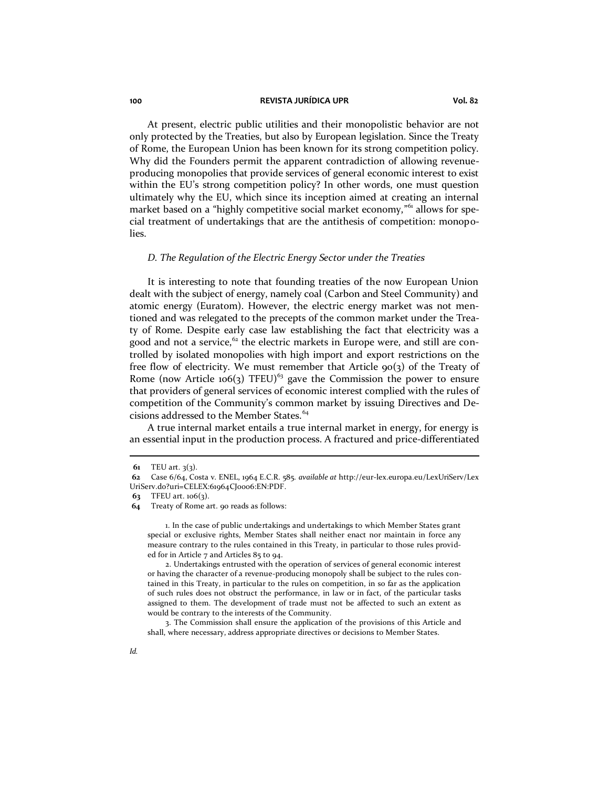At present, electric public utilities and their monopolistic behavior are not only protected by the Treaties, but also by European legislation. Since the Treaty of Rome, the European Union has been known for its strong competition policy. Why did the Founders permit the apparent contradiction of allowing revenueproducing monopolies that provide services of general economic interest to exist within the EU's strong competition policy? In other words, one must question ultimately why the EU, which since its inception aimed at creating an internal market based on a "highly competitive social market economy,"<sup>61</sup> allows for special treatment of undertakings that are the antithesis of competition: monopolies.

### *D. The Regulation of the Electric Energy Sector under the Treaties*

It is interesting to note that founding treaties of the now European Union dealt with the subject of energy, namely coal (Carbon and Steel Community) and atomic energy (Euratom). However, the electric energy market was not mentioned and was relegated to the precepts of the common market under the Treaty of Rome. Despite early case law establishing the fact that electricity was a good and not a service,<sup>62</sup> the electric markets in Europe were, and still are controlled by isolated monopolies with high import and export restrictions on the free flow of electricity. We must remember that Article  $90(3)$  of the Treaty of Rome (now Article 106(3) TFEU)<sup>63</sup> gave the Commission the power to ensure that providers of general services of economic interest complied with the rules of competition of the Community's common market by issuing Directives and Decisions addressed to the Member States.<sup>64</sup>

A true internal market entails a true internal market in energy, for energy is an essential input in the production process. A fractured and price-differentiated

1. In the case of public undertakings and undertakings to which Member States grant special or exclusive rights, Member States shall neither enact nor maintain in force any measure contrary to the rules contained in this Treaty, in particular to those rules provided for in Article 7 and Articles 85 to 94.

2. Undertakings entrusted with the operation of services of general economic interest or having the character of a revenue-producing monopoly shall be subject to the rules contained in this Treaty, in particular to the rules on competition, in so far as the application of such rules does not obstruct the performance, in law or in fact, of the particular tasks assigned to them. The development of trade must not be affected to such an extent as would be contrary to the interests of the Community.

3. The Commission shall ensure the application of the provisions of this Article and shall, where necessary, address appropriate directives or decisions to Member States.

**<sup>61</sup>** TEU art. 3(3).

**<sup>62</sup>** Case 6/64, Costa v. ENEL, 1964 E.C.R. 585. *available at* http://eur-lex.europa.eu/LexUriServ/Lex UriServ.do?uri=CELEX:61964CJ0006:EN:PDF.

**<sup>63</sup>** TFEU art. 106(3).

**<sup>64</sup>** Treaty of Rome art. 90 reads as follows: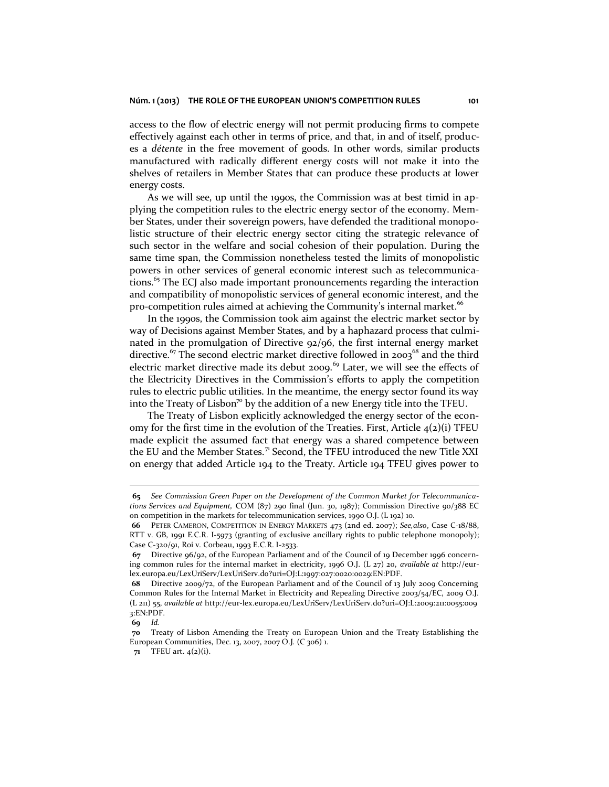access to the flow of electric energy will not permit producing firms to compete effectively against each other in terms of price, and that, in and of itself, produces a *détente* in the free movement of goods. In other words, similar products manufactured with radically different energy costs will not make it into the shelves of retailers in Member States that can produce these products at lower energy costs.

As we will see, up until the 1990s, the Commission was at best timid in applying the competition rules to the electric energy sector of the economy. Member States, under their sovereign powers, have defended the traditional monopolistic structure of their electric energy sector citing the strategic relevance of such sector in the welfare and social cohesion of their population. During the same time span, the Commission nonetheless tested the limits of monopolistic powers in other services of general economic interest such as telecommunications.<sup>65</sup> The ECJ also made important pronouncements regarding the interaction and compatibility of monopolistic services of general economic interest, and the pro-competition rules aimed at achieving the Community's internal market.<sup>66</sup>

In the 1990s, the Commission took aim against the electric market sector by way of Decisions against Member States, and by a haphazard process that culminated in the promulgation of Directive 92/96, the first internal energy market directive.<sup>67</sup> The second electric market directive followed in 2003<sup>68</sup> and the third electric market directive made its debut 2009.<sup>69</sup> Later, we will see the effects of the Electricity Directives in the Commission's efforts to apply the competition rules to electric public utilities. In the meantime, the energy sector found its way into the Treaty of Lisbon<sup>70</sup> by the addition of a new Energy title into the TFEU.

The Treaty of Lisbon explicitly acknowledged the energy sector of the economy for the first time in the evolution of the Treaties. First, Article  $4(2)(i)$  TFEU made explicit the assumed fact that energy was a shared competence between the EU and the Member States.<sup>71</sup> Second, the TFEU introduced the new Title XXI on energy that added Article 194 to the Treaty. Article 194 TFEU gives power to

**<sup>65</sup>** *See Commission Green Paper on the Development of the Common Market for Telecommunications Services and Equipment,* COM (87) 290 final (Jun. 30, 1987); Commission Directive 90/388 EC on competition in the markets for telecommunication services, 1990 O.J. (L 192) 10.

**<sup>66</sup>** PETER CAMERON, COMPETITION IN ENERGY MARKETS 473 (2nd ed. 2007); *See,also*, Case C-18/88, RTT v. GB, 1991 E.C.R. I-5973 (granting of exclusive ancillary rights to public telephone monopoly); Case C-320/91, Roi v. Corbeau, 1993 E.C.R. I-2533.

**<sup>67</sup>** Directive 96/92, of the European Parliament and of the Council of 19 December 1996 concerning common rules for the internal market in electricity, 1996 O.J. (L 27) 20, *available at* http://eurlex.europa.eu/LexUriServ/LexUriServ.do?uri=OJ:L:1997:027:0020:0029:EN:PDF.

**<sup>68</sup>** Directive 2009/72, of the European Parliament and of the Council of 13 July 2009 Concerning Common Rules for the Internal Market in Electricity and Repealing Directive 2003/54/EC, 2009 O.J. (L 211) 55, *available at* http://eur-lex.europa.eu/LexUriServ/LexUriServ.do?uri=OJ:L:2009:211:0055:009 3:EN:PDF.

**<sup>69</sup>** *Id.*

**<sup>70</sup>** Treaty of Lisbon Amending the Treaty on European Union and the Treaty Establishing the European Communities, Dec. 13, 2007, 2007 O.J. (C 306) 1.

**<sup>71</sup>** TFEU art. 4(2)(i).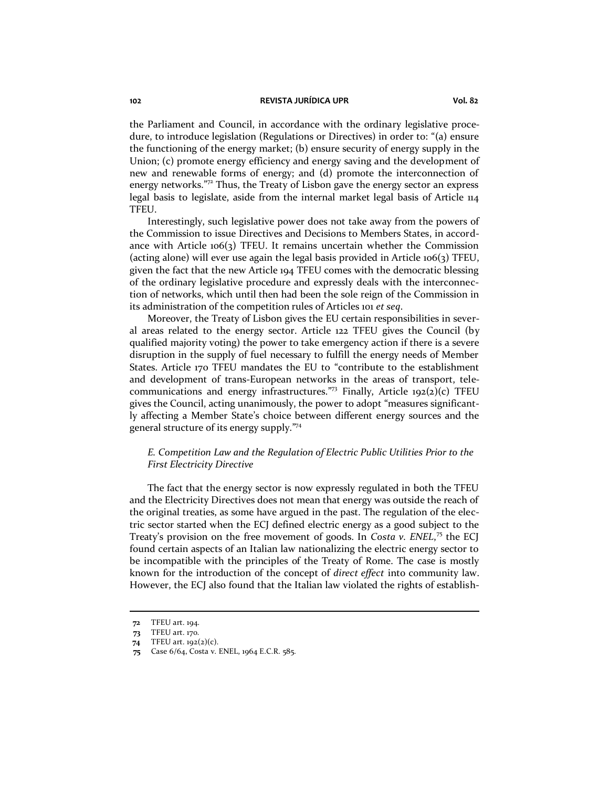the Parliament and Council, in accordance with the ordinary legislative procedure, to introduce legislation (Regulations or Directives) in order to: "(a) ensure the functioning of the energy market; (b) ensure security of energy supply in the Union; (c) promote energy efficiency and energy saving and the development of new and renewable forms of energy; and (d) promote the interconnection of energy networks."<sup>72</sup> Thus, the Treaty of Lisbon gave the energy sector an express legal basis to legislate, aside from the internal market legal basis of Article 114 TFEU.

Interestingly, such legislative power does not take away from the powers of the Commission to issue Directives and Decisions to Members States, in accordance with Article  $106(3)$  TFEU. It remains uncertain whether the Commission (acting alone) will ever use again the legal basis provided in Article 106(3) TFEU, given the fact that the new Article 194 TFEU comes with the democratic blessing of the ordinary legislative procedure and expressly deals with the interconnection of networks, which until then had been the sole reign of the Commission in its administration of the competition rules of Articles 101 *et seq*.

Moreover, the Treaty of Lisbon gives the EU certain responsibilities in several areas related to the energy sector. Article 122 TFEU gives the Council (by qualified majority voting) the power to take emergency action if there is a severe disruption in the supply of fuel necessary to fulfill the energy needs of Member States. Article 170 TFEU mandates the EU to "contribute to the establishment and development of trans-European networks in the areas of transport, telecommunications and energy infrastructures."<sup>73</sup> Finally, Article 192(2)(c) TFEU gives the Council, acting unanimously, the power to adopt "measures significantly affecting a Member State's choice between different energy sources and the general structure of its energy supply."74

# *E. Competition Law and the Regulation of Electric Public Utilities Prior to the First Electricity Directive*

The fact that the energy sector is now expressly regulated in both the TFEU and the Electricity Directives does not mean that energy was outside the reach of the original treaties, as some have argued in the past. The regulation of the electric sector started when the ECJ defined electric energy as a good subject to the Treaty's provision on the free movement of goods. In *Costa v. ENEL*, <sup>75</sup> the ECJ found certain aspects of an Italian law nationalizing the electric energy sector to be incompatible with the principles of the Treaty of Rome. The case is mostly known for the introduction of the concept of *direct effect* into community law. However, the ECJ also found that the Italian law violated the rights of establish-

**<sup>72</sup>** TFEU art. 194.

**<sup>73</sup>** TFEU art. 170.

**<sup>74</sup>** TFEU art. 192(2)(c).

**<sup>75</sup>** Case 6/64, Costa v. ENEL, 1964 E.C.R. 585.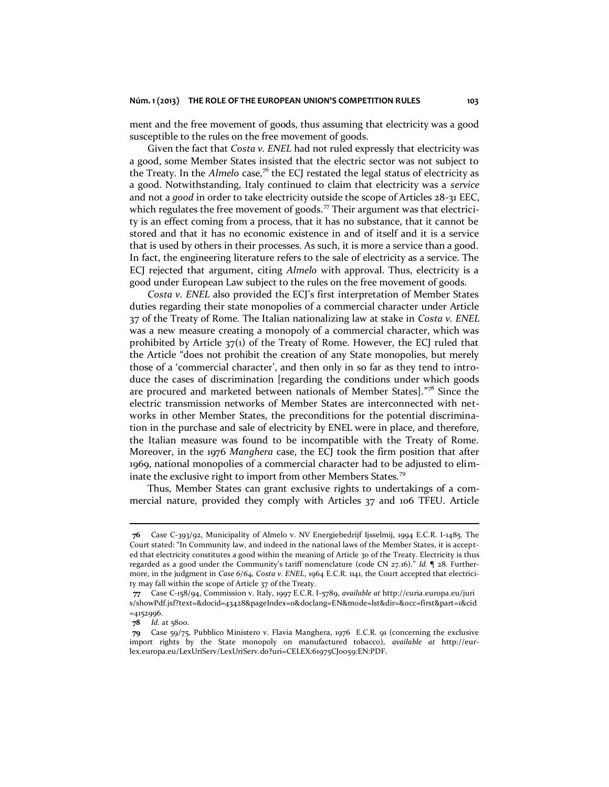#### **Núm. 1 (2013) THE ROLE OF THE EUROPEAN UNION'S COMPETITION RULES 103**

ment and the free movement of goods, thus assuming that electricity was a good susceptible to the rules on the free movement of goods.

Given the fact that *Costa v. ENEL* had not ruled expressly that electricity was a good, some Member States insisted that the electric sector was not subject to the Treaty. In the *Almelo* case, <sup>76</sup> the ECJ restated the legal status of electricity as a good. Notwithstanding, Italy continued to claim that electricity was a *service* and not a *good* in order to take electricity outside the scope of Articles 28-31 EEC, which regulates the free movement of goods.<sup> $7$ </sup> Their argument was that electricity is an effect coming from a process, that it has no substance, that it cannot be stored and that it has no economic existence in and of itself and it is a service that is used by others in their processes. As such, it is more a service than a good. In fact, the engineering literature refers to the sale of electricity as a service. The ECJ rejected that argument, citing *Almelo* with approval. Thus, electricity is a good under European Law subject to the rules on the free movement of goods.

*Costa v. ENEL* also provided the ECJ's first interpretation of Member States duties regarding their state monopolies of a commercial character under Article 37 of the Treaty of Rome. The Italian nationalizing law at stake in *Costa v. ENEL* was a new measure creating a monopoly of a commercial character, which was prohibited by Article  $37(1)$  of the Treaty of Rome. However, the ECJ ruled that the Article "does not prohibit the creation of any State monopolies, but merely those of a 'commercial character', and then only in so far as they tend to introduce the cases of discrimination [regarding the conditions under which goods are procured and marketed between nationals of Member States]."78 Since the electric transmission networks of Member States are interconnected with networks in other Member States, the preconditions for the potential discrimination in the purchase and sale of electricity by ENEL were in place, and therefore, the Italian measure was found to be incompatible with the Treaty of Rome. Moreover, in the 1976 *Manghera* case, the ECJ took the firm position that after 1969, national monopolies of a commercial character had to be adjusted to eliminate the exclusive right to import from other Members States.<sup>79</sup>

Thus, Member States can grant exclusive rights to undertakings of a commercial nature, provided they comply with Articles 37 and 106 TFEU. Article

**<sup>76</sup>** Case C-393/92, Municipality of Almelo v. NV Energiebedrijf Ijsselmij, 1994 E.C.R. I-1485. The Court stated: "In Community law, and indeed in the national laws of the Member States, it is accepted that electricity constitutes a good within the meaning of Article 30 of the Treaty. Electricity is thus regarded as a good under the Community's tariff nomenclature (code CN 27.16)." *Id.* ¶ 28. Furthermore, in the judgment in *Case 6/64, Costa v. ENEL*, 1964 E.C.R. 1141, the Court accepted that electricity may fall within the scope of Article 37 of the Treaty.

**<sup>77</sup>** Case C-158/94, Commission v. Italy, 1997 E.C.R. I-5789, *available at* http://curia.europa.eu/juri s/showPdf.jsf?text=&docid=43428&pageIndex=0&doclang=EN&mode=lst&dir=&occ=first&part=1&cid =4152996.

**<sup>78</sup>** *Id*. at 5800.

**<sup>79</sup>** Case 59/75, Pubblico Ministero v. Flavia Manghera, 1976 E.C.R. 91 (concerning the exclusive import rights by the State monopoly on manufactured tobacco), *available at* http://eurlex.europa.eu/LexUriServ/LexUriServ.do?uri=CELEX:61975CJ0059:EN:PDF.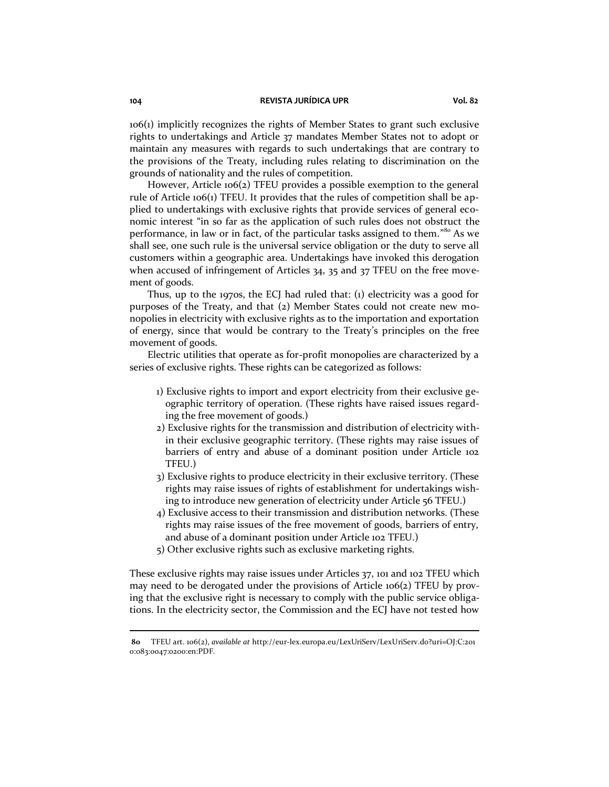106(1) implicitly recognizes the rights of Member States to grant such exclusive rights to undertakings and Article 37 mandates Member States not to adopt or maintain any measures with regards to such undertakings that are contrary to the provisions of the Treaty, including rules relating to discrimination on the grounds of nationality and the rules of competition.

However, Article 106(2) TFEU provides a possible exemption to the general rule of Article 106(1) TFEU. It provides that the rules of competition shall be applied to undertakings with exclusive rights that provide services of general economic interest "in so far as the application of such rules does not obstruct the performance, in law or in fact, of the particular tasks assigned to them."<sup>80</sup> As we shall see, one such rule is the universal service obligation or the duty to serve all customers within a geographic area. Undertakings have invoked this derogation when accused of infringement of Articles 34, 35 and 37 TFEU on the free movement of goods.

Thus, up to the 1970s, the ECJ had ruled that: (1) electricity was a good for purposes of the Treaty, and that (2) Member States could not create new monopolies in electricity with exclusive rights as to the importation and exportation of energy, since that would be contrary to the Treaty's principles on the free movement of goods.

Electric utilities that operate as for-profit monopolies are characterized by a series of exclusive rights. These rights can be categorized as follows:

- 1) Exclusive rights to import and export electricity from their exclusive geographic territory of operation. (These rights have raised issues regarding the free movement of goods.)
- 2) Exclusive rights for the transmission and distribution of electricity within their exclusive geographic territory. (These rights may raise issues of barriers of entry and abuse of a dominant position under Article 102 TFEU.)
- 3) Exclusive rights to produce electricity in their exclusive territory. (These rights may raise issues of rights of establishment for undertakings wishing to introduce new generation of electricity under Article 56 TFEU.)
- 4) Exclusive access to their transmission and distribution networks. (These rights may raise issues of the free movement of goods, barriers of entry, and abuse of a dominant position under Article 102 TFEU.)
- 5) Other exclusive rights such as exclusive marketing rights.

These exclusive rights may raise issues under Articles 37, 101 and 102 TFEU which may need to be derogated under the provisions of Article  $106(z)$  TFEU by proving that the exclusive right is necessary to comply with the public service obligations. In the electricity sector, the Commission and the ECJ have not tested how

**<sup>80</sup>** TFEU art. 106(2), *available at* http://eur-lex.europa.eu/LexUriServ/LexUriServ.do?uri=OJ:C:201 0:083:0047:0200:en:PDF.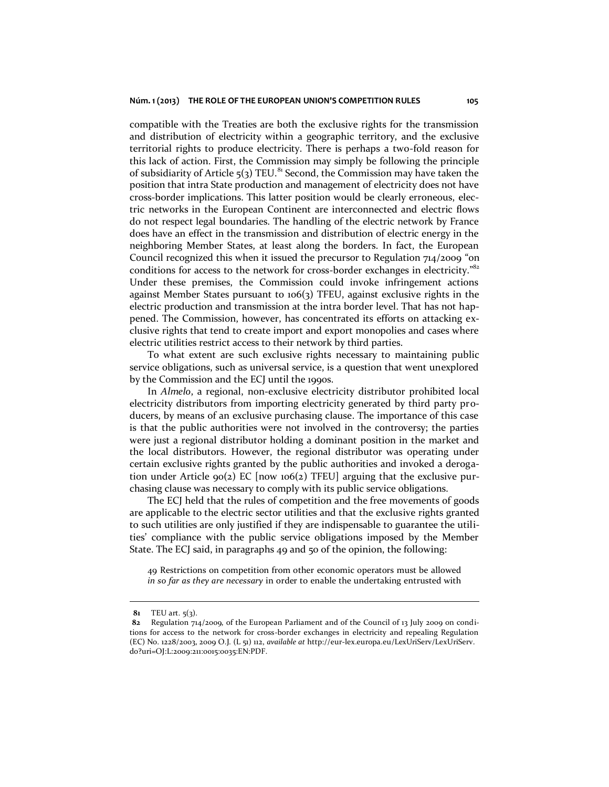compatible with the Treaties are both the exclusive rights for the transmission and distribution of electricity within a geographic territory, and the exclusive territorial rights to produce electricity. There is perhaps a two-fold reason for this lack of action. First, the Commission may simply be following the principle of subsidiarity of Article  $5(3)$  TEU.<sup>81</sup> Second, the Commission may have taken the position that intra State production and management of electricity does not have cross-border implications. This latter position would be clearly erroneous, electric networks in the European Continent are interconnected and electric flows do not respect legal boundaries. The handling of the electric network by France does have an effect in the transmission and distribution of electric energy in the neighboring Member States, at least along the borders. In fact, the European Council recognized this when it issued the precursor to Regulation 714/2009 "on conditions for access to the network for cross-border exchanges in electricity."<sup>82</sup> Under these premises, the Commission could invoke infringement actions against Member States pursuant to 106(3) TFEU, against exclusive rights in the electric production and transmission at the intra border level. That has not happened. The Commission, however, has concentrated its efforts on attacking exclusive rights that tend to create import and export monopolies and cases where electric utilities restrict access to their network by third parties.

To what extent are such exclusive rights necessary to maintaining public service obligations, such as universal service, is a question that went unexplored by the Commission and the ECJ until the 1990s.

In *Almelo*, a regional, non-exclusive electricity distributor prohibited local electricity distributors from importing electricity generated by third party producers, by means of an exclusive purchasing clause. The importance of this case is that the public authorities were not involved in the controversy; the parties were just a regional distributor holding a dominant position in the market and the local distributors. However, the regional distributor was operating under certain exclusive rights granted by the public authorities and invoked a derogation under Article 90(2) EC [now 106(2) TFEU] arguing that the exclusive purchasing clause was necessary to comply with its public service obligations.

The ECJ held that the rules of competition and the free movements of goods are applicable to the electric sector utilities and that the exclusive rights granted to such utilities are only justified if they are indispensable to guarantee the utilities' compliance with the public service obligations imposed by the Member State. The ECJ said, in paragraphs 49 and 50 of the opinion, the following:

49 Restrictions on competition from other economic operators must be allowed *in so far as they are necessary* in order to enable the undertaking entrusted with

**<sup>81</sup>** TEU art. 5(3).

**<sup>82</sup>** Regulation 714/2009, of the European Parliament and of the Council of 13 July 2009 on conditions for access to the network for cross-border exchanges in electricity and repealing Regulation (EC) No. 1228/2003, 2009 O.J. (L 51) 112, *available at* http://eur-lex.europa.eu/LexUriServ/LexUriServ. do?uri=OJ:L:2009:211:0015:0035:EN:PDF.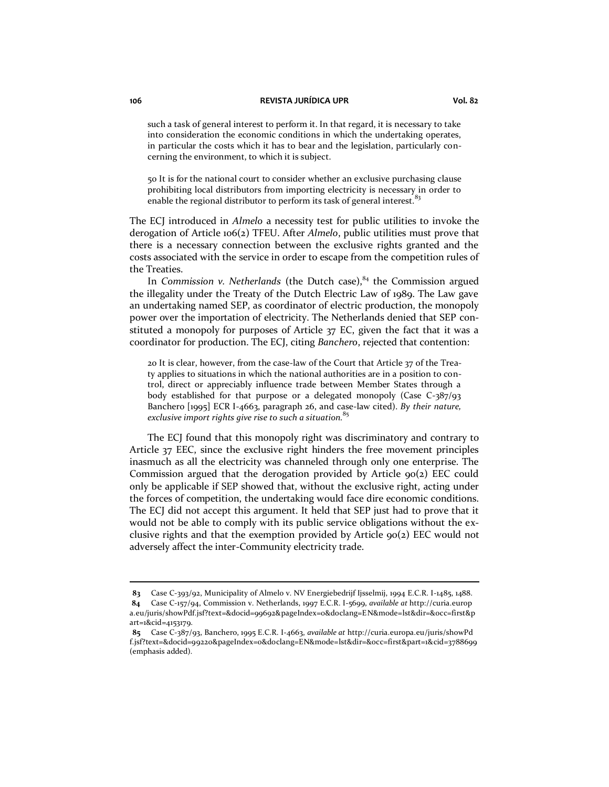such a task of general interest to perform it. In that regard, it is necessary to take into consideration the economic conditions in which the undertaking operates, in particular the costs which it has to bear and the legislation, particularly concerning the environment, to which it is subject.

50 It is for the national court to consider whether an exclusive purchasing clause prohibiting local distributors from importing electricity is necessary in order to enable the regional distributor to perform its task of general interest.<sup>83</sup>

The ECJ introduced in *Almelo* a necessity test for public utilities to invoke the derogation of Article 106(2) TFEU. After *Almelo*, public utilities must prove that there is a necessary connection between the exclusive rights granted and the costs associated with the service in order to escape from the competition rules of the Treaties.

In *Commission v. Netherlands* (the Dutch case),<sup>84</sup> the Commission argued the illegality under the Treaty of the Dutch Electric Law of 1989. The Law gave an undertaking named SEP, as coordinator of electric production, the monopoly power over the importation of electricity. The Netherlands denied that SEP constituted a monopoly for purposes of Article 37 EC, given the fact that it was a coordinator for production. The ECJ, citing *Banchero*, rejected that contention:

20 It is clear, however, from the case-law of the Court that Article 37 of the Treaty applies to situations in which the national authorities are in a position to control, direct or appreciably influence trade between Member States through a body established for that purpose or a delegated monopoly (Case C-387/93 Banchero [1995] ECR I-4663, paragraph 26, and case-law cited). *By their nature, exclusive import rights give rise to such a situation.*<sup>85</sup>

The ECJ found that this monopoly right was discriminatory and contrary to Article 37 EEC, since the exclusive right hinders the free movement principles inasmuch as all the electricity was channeled through only one enterprise. The Commission argued that the derogation provided by Article  $\mathfrak{so}(2)$  EEC could only be applicable if SEP showed that, without the exclusive right, acting under the forces of competition, the undertaking would face dire economic conditions. The ECJ did not accept this argument. It held that SEP just had to prove that it would not be able to comply with its public service obligations without the exclusive rights and that the exemption provided by Article  $\mathfrak{so}(2)$  EEC would not adversely affect the inter-Community electricity trade.

**<sup>83</sup>** Case C-393/92, Municipality of Almelo v. NV Energiebedrijf Ijsselmij, 1994 E.C.R. I-1485, 1488. **84** Case C-157/94, Commission v. Netherlands, 1997 E.C.R. I-5699, *available at* http://curia.europ a.eu/juris/showPdf.jsf?text=&docid=99692&pageIndex=0&doclang=EN&mode=lst&dir=&occ=first&p art=1&cid=4153179.

**<sup>85</sup>** Case C-387/93, Banchero, 1995 E.C.R. I-4663, *available at* http://curia.europa.eu/juris/showPd f.jsf?text=&docid=99220&pageIndex=0&doclang=EN&mode=lst&dir=&occ=first&part=1&cid=3788699 (emphasis added).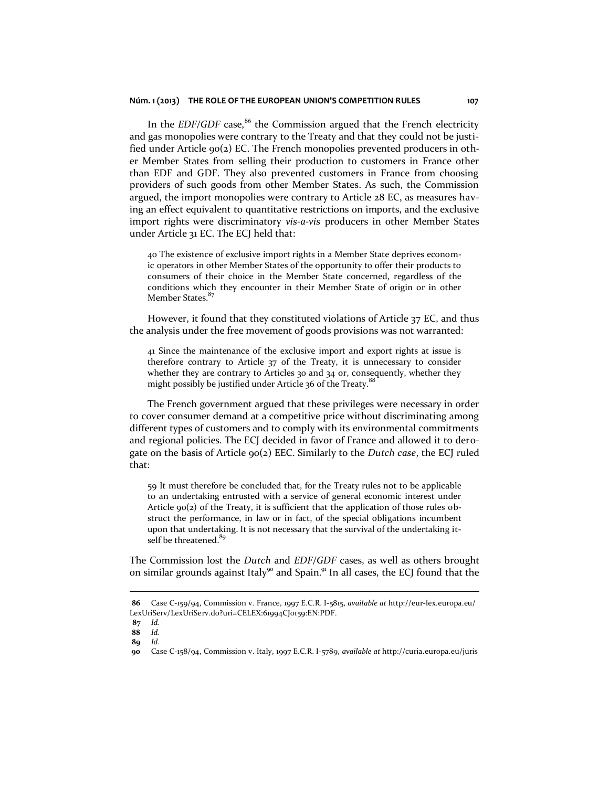#### **Núm. 1 (2013) THE ROLE OF THE EUROPEAN UNION'S COMPETITION RULES 107**

In the *EDF/GDF* case,<sup>86</sup> the Commission argued that the French electricity and gas monopolies were contrary to the Treaty and that they could not be justified under Article  $\varphi$ <sub>2</sub>) EC. The French monopolies prevented producers in other Member States from selling their production to customers in France other than EDF and GDF. They also prevented customers in France from choosing providers of such goods from other Member States. As such, the Commission argued, the import monopolies were contrary to Article 28 EC, as measures having an effect equivalent to quantitative restrictions on imports, and the exclusive import rights were discriminatory *vis-a-vis* producers in other Member States under Article 31 EC. The ECJ held that:

40 The existence of exclusive import rights in a Member State deprives economic operators in other Member States of the opportunity to offer their products to consumers of their choice in the Member State concerned, regardless of the conditions which they encounter in their Member State of origin or in other Member States.<sup>87</sup>

However, it found that they constituted violations of Article 37 EC, and thus the analysis under the free movement of goods provisions was not warranted:

41 Since the maintenance of the exclusive import and export rights at issue is therefore contrary to Article 37 of the Treaty, it is unnecessary to consider whether they are contrary to Articles 30 and 34 or, consequently, whether they might possibly be justified under Article 36 of the Treaty.<sup>88</sup>

The French government argued that these privileges were necessary in order to cover consumer demand at a competitive price without discriminating among different types of customers and to comply with its environmental commitments and regional policies. The ECJ decided in favor of France and allowed it to derogate on the basis of Article 90(2) EEC. Similarly to the *Dutch case*, the ECJ ruled that:

59 It must therefore be concluded that, for the Treaty rules not to be applicable to an undertaking entrusted with a service of general economic interest under Article 90(2) of the Treaty, it is sufficient that the application of those rules obstruct the performance, in law or in fact, of the special obligations incumbent upon that undertaking. It is not necessary that the survival of the undertaking itself be threatened.<sup>89</sup>

The Commission lost the *Dutch* and *EDF/GDF* cases, as well as others brought on similar grounds against Italy<sup>90</sup> and Spain.<sup>91</sup> In all cases, the ECJ found that the

**<sup>86</sup>** Case C-159/94, Commission v. France, 1997 E.C.R. I-5815, *available at* http://eur-lex.europa.eu/ LexUriServ/LexUriServ.do?uri=CELEX:61994CJ0159:EN:PDF.

**<sup>87</sup>** *Id.*

**<sup>88</sup>** *Id.*

**<sup>89</sup>** *Id.* 

**<sup>90</sup>** Case C-158/94, Commission v. Italy, 1997 E.C.R. I-5789, *available at* http://curia.europa.eu/juris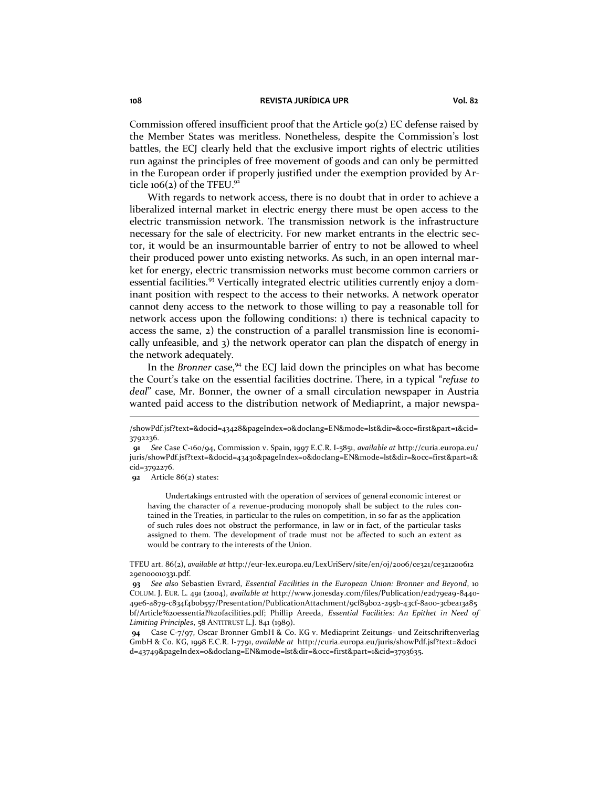Commission offered insufficient proof that the Article  $\varphi$  (2) EC defense raised by the Member States was meritless. Nonetheless, despite the Commission's lost battles, the ECJ clearly held that the exclusive import rights of electric utilities run against the principles of free movement of goods and can only be permitted in the European order if properly justified under the exemption provided by Article  $106(2)$  of the TFEU.<sup>92</sup>

With regards to network access, there is no doubt that in order to achieve a liberalized internal market in electric energy there must be open access to the electric transmission network. The transmission network is the infrastructure necessary for the sale of electricity. For new market entrants in the electric sector, it would be an insurmountable barrier of entry to not be allowed to wheel their produced power unto existing networks. As such, in an open internal market for energy, electric transmission networks must become common carriers or essential facilities.<sup>93</sup> Vertically integrated electric utilities currently enjoy a dominant position with respect to the access to their networks. A network operator cannot deny access to the network to those willing to pay a reasonable toll for network access upon the following conditions: 1) there is technical capacity to access the same, 2) the construction of a parallel transmission line is economically unfeasible, and 3) the network operator can plan the dispatch of energy in the network adequately.

In the *Bronner* case,<sup>94</sup> the ECJ laid down the principles on what has become the Court's take on the essential facilities doctrine. There, in a typical "*refuse to deal*" case, Mr. Bonner, the owner of a small circulation newspaper in Austria wanted paid access to the distribution network of Mediaprint, a major newspa-

**92** Article 86(2) states:

Undertakings entrusted with the operation of services of general economic interest or having the character of a revenue-producing monopoly shall be subject to the rules contained in the Treaties, in particular to the rules on competition, in so far as the application of such rules does not obstruct the performance, in law or in fact, of the particular tasks assigned to them. The development of trade must not be affected to such an extent as would be contrary to the interests of the Union.

TFEU art. 86(2), *available at* http://eur-lex.europa.eu/LexUriServ/site/en/oj/2006/ce321/ce321200612 29en00010331.pdf.

**94** Case C-7/97, Oscar Bronner GmbH & Co. KG v. Mediaprint Zeitungs- und Zeitschriftenverlag GmbH & Co. KG, 1998 E.C.R. I-7791, *available at* http://curia.europa.eu/juris/showPdf.jsf?text=&doci d=43749&pageIndex=0&doclang=EN&mode=lst&dir=&occ=first&part=1&cid=3793635.

<sup>/</sup>showPdf.jsf?text=&docid=43428&pageIndex=0&doclang=EN&mode=lst&dir=&occ=first&part=1&cid= 3792236.

**<sup>91</sup>** *See* Case C-160/94, Commission v. Spain, 1997 E.C.R. I-5851, *available at* http://curia.europa.eu/ juris/showPdf.jsf?text=&docid=43430&pageIndex=0&doclang=EN&mode=lst&dir=&occ=first&part=1& cid=3792276.

**<sup>93</sup>** *See also* Sebastien Evrard, *Essential Facilities in the European Union: Bronner and Beyond*, 10 COLUM. J. EUR. L. 491 (2004), *available at* http://www.jonesday.com/files/Publication/e2d79ea9-8440- 49e6-a879-c834f4b0b557/Presentation/PublicationAttachment/9cf89b02-295b-43cf-8a00-3cbea13a85 bf/Article%20essential%20facilities.pdf; Phillip Areeda, *Essential Facilities: An Epithet in Need of Limiting Principles*, 58 ANTITRUST L.J. 841 (1989).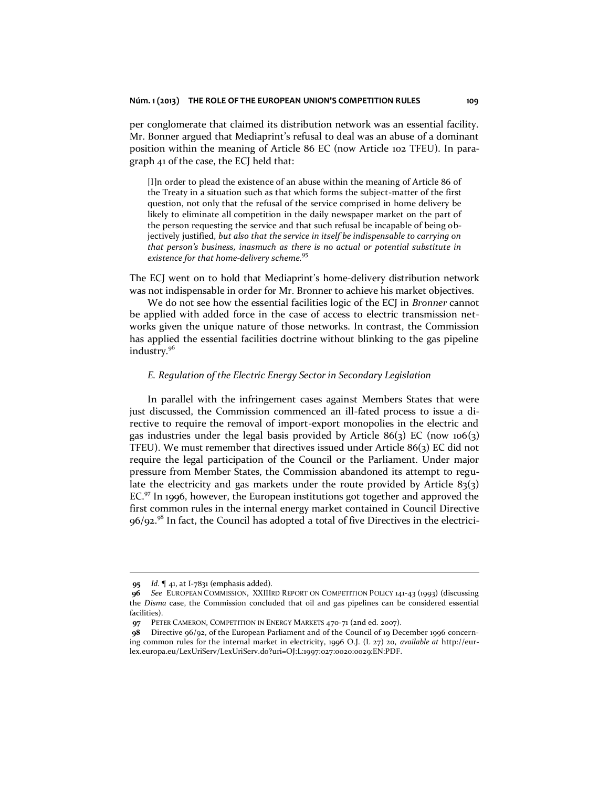per conglomerate that claimed its distribution network was an essential facility. Mr. Bonner argued that Mediaprint's refusal to deal was an abuse of a dominant position within the meaning of Article 86 EC (now Article 102 TFEU). In paragraph 41 of the case, the ECJ held that:

[I]n order to plead the existence of an abuse within the meaning of Article 86 of the Treaty in a situation such as that which forms the subject-matter of the first question, not only that the refusal of the service comprised in home delivery be likely to eliminate all competition in the daily newspaper market on the part of the person requesting the service and that such refusal be incapable of being objectively justified, *but also that the service in itself be indispensable to carrying on that person's business, inasmuch as there is no actual or potential substitute in existence for that home-delivery scheme.*<sup>95</sup>

The ECJ went on to hold that Mediaprint's home-delivery distribution network was not indispensable in order for Mr. Bronner to achieve his market objectives.

We do not see how the essential facilities logic of the ECJ in *Bronner* cannot be applied with added force in the case of access to electric transmission networks given the unique nature of those networks. In contrast, the Commission has applied the essential facilities doctrine without blinking to the gas pipeline industry.<sup>96</sup>

## *E. Regulation of the Electric Energy Sector in Secondary Legislation*

In parallel with the infringement cases against Members States that were just discussed, the Commission commenced an ill-fated process to issue a directive to require the removal of import-export monopolies in the electric and gas industries under the legal basis provided by Article  $86(3)$  EC (now  $106(3)$ ) TFEU). We must remember that directives issued under Article 86(3) EC did not require the legal participation of the Council or the Parliament. Under major pressure from Member States, the Commission abandoned its attempt to regulate the electricity and gas markets under the route provided by Article  $83(3)$  $EC<sup>97</sup>$  In 1996, however, the European institutions got together and approved the first common rules in the internal energy market contained in Council Directive  $96$ / $92.^{98}$  In fact, the Council has adopted a total of five Directives in the electrici-

**<sup>95</sup>** *Id*. ¶ 41, at I-7831 (emphasis added).

**<sup>96</sup>** *See* EUROPEAN COMMISSION, XXIIIRD REPORT ON COMPETITION POLICY 141-43 (1993) (discussing the *Disma* case, the Commission concluded that oil and gas pipelines can be considered essential facilities).

**<sup>97</sup>** PETER CAMERON, COMPETITION IN ENERGY MARKETS 470-71 (2nd ed. 2007).

**<sup>98</sup>** Directive 96/92, of the European Parliament and of the Council of 19 December 1996 concerning common rules for the internal market in electricity, 1996 O.J. (L 27) 20, *available at* http://eurlex.europa.eu/LexUriServ/LexUriServ.do?uri=OJ:L:1997:027:0020:0029:EN:PDF.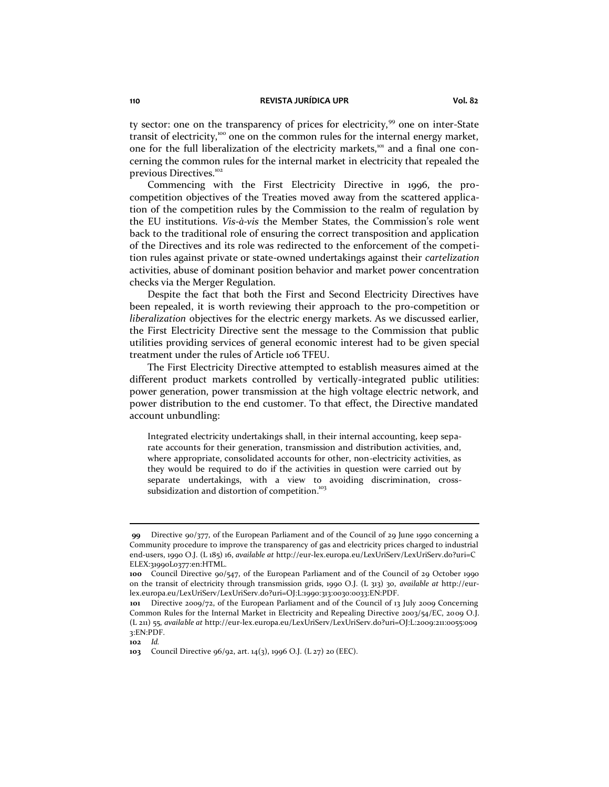ty sector: one on the transparency of prices for electricity,<sup>99</sup> one on inter-State transit of electricity, $100$  one on the common rules for the internal energy market, one for the full liberalization of the electricity markets,<sup>101</sup> and a final one concerning the common rules for the internal market in electricity that repealed the previous Directives.<sup>102</sup>

Commencing with the First Electricity Directive in 1996, the procompetition objectives of the Treaties moved away from the scattered application of the competition rules by the Commission to the realm of regulation by the EU institutions. *Vis-à-vis* the Member States, the Commission's role went back to the traditional role of ensuring the correct transposition and application of the Directives and its role was redirected to the enforcement of the competition rules against private or state-owned undertakings against their *cartelization* activities, abuse of dominant position behavior and market power concentration checks via the Merger Regulation.

Despite the fact that both the First and Second Electricity Directives have been repealed, it is worth reviewing their approach to the pro-competition or *liberalization* objectives for the electric energy markets. As we discussed earlier, the First Electricity Directive sent the message to the Commission that public utilities providing services of general economic interest had to be given special treatment under the rules of Article 106 TFEU.

The First Electricity Directive attempted to establish measures aimed at the different product markets controlled by vertically-integrated public utilities: power generation, power transmission at the high voltage electric network, and power distribution to the end customer. To that effect, the Directive mandated account unbundling:

Integrated electricity undertakings shall, in their internal accounting, keep separate accounts for their generation, transmission and distribution activities, and, where appropriate, consolidated accounts for other, non-electricity activities, as they would be required to do if the activities in question were carried out by separate undertakings, with a view to avoiding discrimination, crosssubsidization and distortion of competition.<sup>103</sup>

**<sup>99</sup>** Directive 90/377, of the European Parliament and of the Council of 29 June 1990 concerning a Community procedure to improve the transparency of gas and electricity prices charged to industrial end-users, 1990 O.J. (L 185) 16, *available at* http://eur-lex.europa.eu/LexUriServ/LexUriServ.do?uri=C ELEX:31990L0377:en:HTML.

**<sup>100</sup>** Council Directive 90/547, of the European Parliament and of the Council of 29 October 1990 on the transit of electricity through transmission grids, 1990 O.J. (L 313) 30, *available at* http://eurlex.europa.eu/LexUriServ/LexUriServ.do?uri=OJ:L:1990:313:0030:0033:EN:PDF.

**<sup>101</sup>** Directive 2009/72, of the European Parliament and of the Council of 13 July 2009 Concerning Common Rules for the Internal Market in Electricity and Repealing Directive 2003/54/EC, 2009 O.J. (L 211) 55, *available at* http://eur-lex.europa.eu/LexUriServ/LexUriServ.do?uri=OJ:L:2009:211:0055:009 3:EN:PDF.

**<sup>102</sup>** *Id.*

**<sup>103</sup>** Council Directive 96/92, art. 14(3), 1996 O.J. (L 27) 20 (EEC).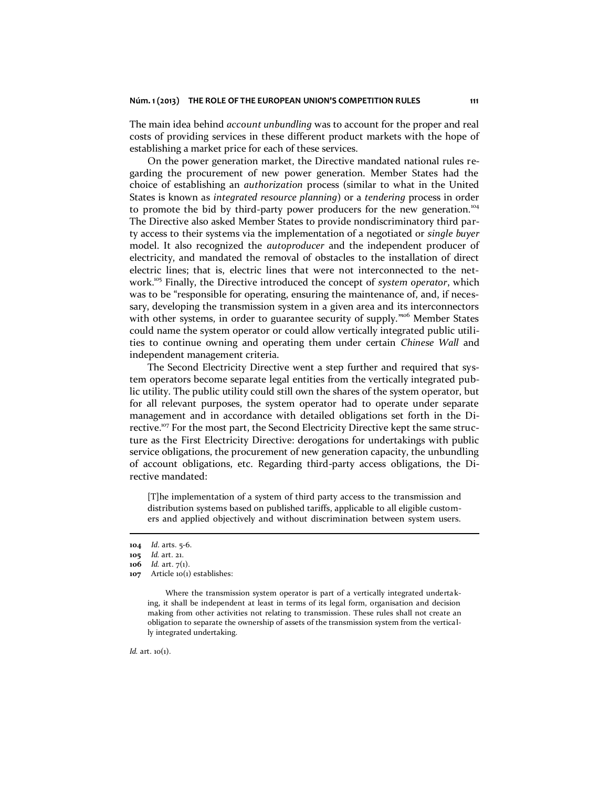The main idea behind *account unbundling* was to account for the proper and real costs of providing services in these different product markets with the hope of establishing a market price for each of these services.

On the power generation market, the Directive mandated national rules regarding the procurement of new power generation. Member States had the choice of establishing an *authorization* process (similar to what in the United States is known as *integrated resource planning*) or a *tendering* process in order to promote the bid by third-party power producers for the new generation.<sup>104</sup> The Directive also asked Member States to provide nondiscriminatory third party access to their systems via the implementation of a negotiated or *single buyer* model. It also recognized the *autoproducer* and the independent producer of electricity, and mandated the removal of obstacles to the installation of direct electric lines; that is, electric lines that were not interconnected to the network.<sup>105</sup> Finally, the Directive introduced the concept of *system operator*, which was to be "responsible for operating, ensuring the maintenance of, and, if necessary, developing the transmission system in a given area and its interconnectors with other systems, in order to guarantee security of supply."<sup>106</sup> Member States could name the system operator or could allow vertically integrated public utilities to continue owning and operating them under certain *Chinese Wall* and independent management criteria.

The Second Electricity Directive went a step further and required that system operators become separate legal entities from the vertically integrated public utility. The public utility could still own the shares of the system operator, but for all relevant purposes, the system operator had to operate under separate management and in accordance with detailed obligations set forth in the Directive.<sup>107</sup> For the most part, the Second Electricity Directive kept the same structure as the First Electricity Directive: derogations for undertakings with public service obligations, the procurement of new generation capacity, the unbundling of account obligations, etc. Regarding third-party access obligations, the Directive mandated:

[T]he implementation of a system of third party access to the transmission and distribution systems based on published tariffs, applicable to all eligible customers and applied objectively and without discrimination between system users.

*Id.* art. 10(1).

**<sup>104</sup>** *Id*. arts. 5-6.

**<sup>105</sup>** *Id.* art. 21.

**<sup>106</sup>** *Id.* art. 7(1).

**<sup>107</sup>** Article 10(1) establishes:

Where the transmission system operator is part of a vertically integrated undertaking, it shall be independent at least in terms of its legal form, organisation and decision making from other activities not relating to transmission. These rules shall not create an obligation to separate the ownership of assets of the transmission system from the vertically integrated undertaking.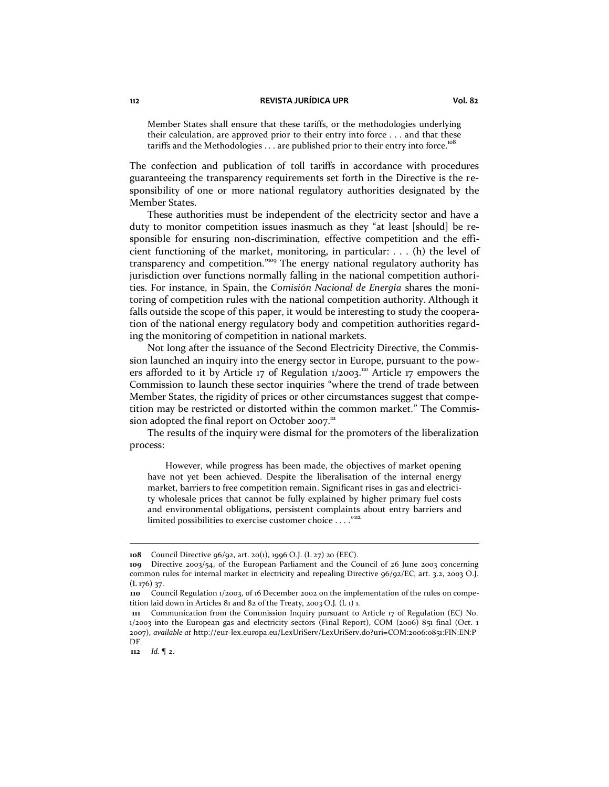Member States shall ensure that these tariffs, or the methodologies underlying their calculation, are approved prior to their entry into force . . . and that these tariffs and the Methodologies  $\dots$  are published prior to their entry into force.<sup>108</sup>

The confection and publication of toll tariffs in accordance with procedures guaranteeing the transparency requirements set forth in the Directive is the responsibility of one or more national regulatory authorities designated by the Member States.

These authorities must be independent of the electricity sector and have a duty to monitor competition issues inasmuch as they "at least [should] be responsible for ensuring non-discrimination, effective competition and the efficient functioning of the market, monitoring, in particular: . . . (h) the level of transparency and competition."<sup>109</sup> The energy national regulatory authority has jurisdiction over functions normally falling in the national competition authorities. For instance, in Spain, the *Comisión Nacional de Energía* shares the monitoring of competition rules with the national competition authority. Although it falls outside the scope of this paper, it would be interesting to study the cooperation of the national energy regulatory body and competition authorities regarding the monitoring of competition in national markets.

Not long after the issuance of the Second Electricity Directive, the Commission launched an inquiry into the energy sector in Europe, pursuant to the powers afforded to it by Article 17 of Regulation 1/2003.<sup>110</sup> Article 17 empowers the Commission to launch these sector inquiries "where the trend of trade between Member States, the rigidity of prices or other circumstances suggest that competition may be restricted or distorted within the common market." The Commission adopted the final report on October 2007.<sup>111</sup>

The results of the inquiry were dismal for the promoters of the liberalization process:

However, while progress has been made, the objectives of market opening have not yet been achieved. Despite the liberalisation of the internal energy market, barriers to free competition remain. Significant rises in gas and electricity wholesale prices that cannot be fully explained by higher primary fuel costs and environmental obligations, persistent complaints about entry barriers and limited possibilities to exercise customer choice . . . . "112

**<sup>108</sup>** Council Directive 96/92, art. 20(1), 1996 O.J. (L 27) 20 (EEC).

**<sup>109</sup>** Directive 2003/54, of the European Parliament and the Council of 26 June 2003 concerning common rules for internal market in electricity and repealing Directive 96/92/EC, art. 3.2, 2003 O.J.  $(L_{176})_{37.}$ 

**<sup>110</sup>** Council Regulation 1/2003, of 16 December 2002 on the implementation of the rules on competition laid down in Articles 81 and 82 of the Treaty, 2003 O.J. (L 1) 1.

**<sup>111</sup>** Communication from the Commission Inquiry pursuant to Article 17 of Regulation (EC) No. 1/2003 into the European gas and electricity sectors (Final Report), COM (2006) 851 final (Oct. 1 2007), *available at* http://eur-lex.europa.eu/LexUriServ/LexUriServ.do?uri=COM:2006:0851:FIN:EN:P DF.

**<sup>112</sup>** *Id.* ¶ 2.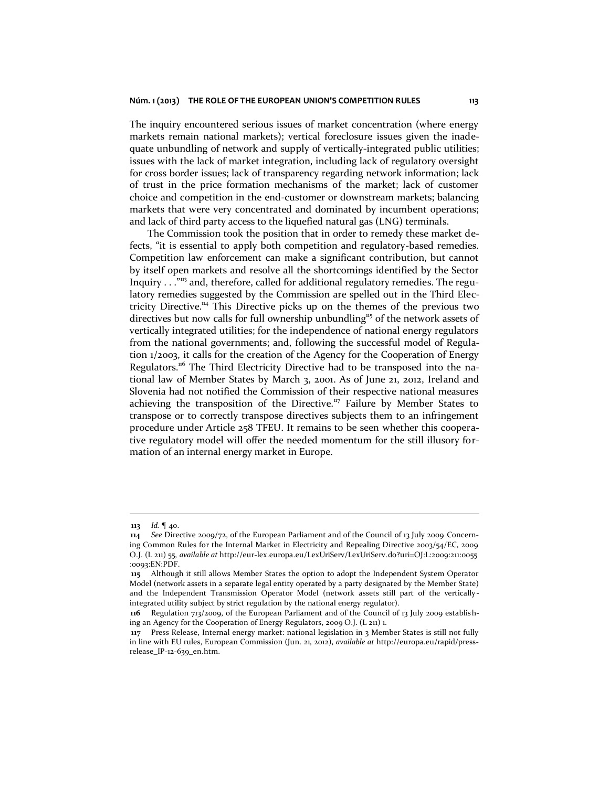The inquiry encountered serious issues of market concentration (where energy markets remain national markets); vertical foreclosure issues given the inadequate unbundling of network and supply of vertically-integrated public utilities; issues with the lack of market integration, including lack of regulatory oversight for cross border issues; lack of transparency regarding network information; lack of trust in the price formation mechanisms of the market; lack of customer choice and competition in the end-customer or downstream markets; balancing markets that were very concentrated and dominated by incumbent operations; and lack of third party access to the liquefied natural gas (LNG) terminals.

The Commission took the position that in order to remedy these market defects, "it is essential to apply both competition and regulatory-based remedies. Competition law enforcement can make a significant contribution, but cannot by itself open markets and resolve all the shortcomings identified by the Sector Inquiry . . . "<sup>113</sup> and, therefore, called for additional regulatory remedies. The regulatory remedies suggested by the Commission are spelled out in the Third Electricity Directive.<sup>114</sup> This Directive picks up on the themes of the previous two directives but now calls for full ownership unbundling<sup>115</sup> of the network assets of vertically integrated utilities; for the independence of national energy regulators from the national governments; and, following the successful model of Regulation 1/2003, it calls for the creation of the Agency for the Cooperation of Energy Regulators.<sup>116</sup> The Third Electricity Directive had to be transposed into the national law of Member States by March 3, 2001. As of June 21, 2012, Ireland and Slovenia had not notified the Commission of their respective national measures achieving the transposition of the Directive.<sup>117</sup> Failure by Member States to transpose or to correctly transpose directives subjects them to an infringement procedure under Article 258 TFEU. It remains to be seen whether this cooperative regulatory model will offer the needed momentum for the still illusory formation of an internal energy market in Europe.

**<sup>113</sup>** *Id.* ¶ 40.

**<sup>114</sup>** *See* Directive 2009/72, of the European Parliament and of the Council of 13 July 2009 Concerning Common Rules for the Internal Market in Electricity and Repealing Directive 2003/54/EC, 2009 O.J. (L 211) 55, *available at* http://eur-lex.europa.eu/LexUriServ/LexUriServ.do?uri=OJ:L:2009:211:0055 :0093:EN:PDF.

**<sup>115</sup>** Although it still allows Member States the option to adopt the Independent System Operator Model (network assets in a separate legal entity operated by a party designated by the Member State) and the Independent Transmission Operator Model (network assets still part of the verticallyintegrated utility subject by strict regulation by the national energy regulator).

**<sup>116</sup>** Regulation 713/2009, of the European Parliament and of the Council of 13 July 2009 establishing an Agency for the Cooperation of Energy Regulators, 2009 O.J. (L 211) 1.

**<sup>117</sup>** Press Release, Internal energy market: national legislation in 3 Member States is still not fully in line with EU rules, European Commission (Jun. 21, 2012), *available at* http://europa.eu/rapid/pressrelease\_IP-12-639\_en.htm.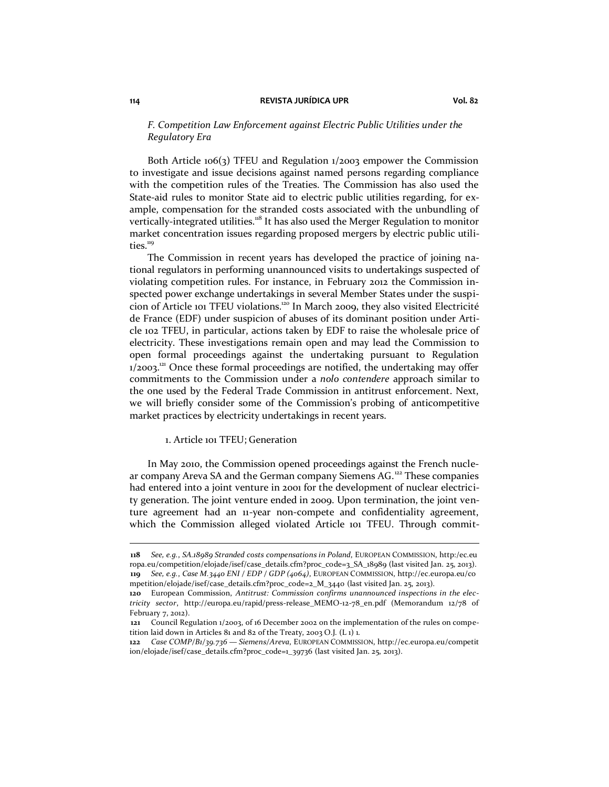## *F. Competition Law Enforcement against Electric Public Utilities under the Regulatory Era*

Both Article 106(3) TFEU and Regulation 1/2003 empower the Commission to investigate and issue decisions against named persons regarding compliance with the competition rules of the Treaties. The Commission has also used the State-aid rules to monitor State aid to electric public utilities regarding, for example, compensation for the stranded costs associated with the unbundling of vertically-integrated utilities.<sup>118</sup> It has also used the Merger Regulation to monitor market concentration issues regarding proposed mergers by electric public utilities.<sup>119</sup>

The Commission in recent years has developed the practice of joining national regulators in performing unannounced visits to undertakings suspected of violating competition rules. For instance, in February 2012 the Commission inspected power exchange undertakings in several Member States under the suspicion of Article 101 TFEU violations.<sup>120</sup> In March 2009, they also visited Electricité de France (EDF) under suspicion of abuses of its dominant position under Article 102 TFEU, in particular, actions taken by EDF to raise the wholesale price of electricity. These investigations remain open and may lead the Commission to open formal proceedings against the undertaking pursuant to Regulation  $1/2003$ <sup>21</sup> Once these formal proceedings are notified, the undertaking may offer commitments to the Commission under a *nolo contendere* approach similar to the one used by the Federal Trade Commission in antitrust enforcement. Next, we will briefly consider some of the Commission's probing of anticompetitive market practices by electricity undertakings in recent years.

#### 1. Article 101 TFEU; Generation

In May 2010, the Commission opened proceedings against the French nuclear company Areva SA and the German company Siemens AG.<sup>122</sup> These companies had entered into a joint venture in 2001 for the development of nuclear electricity generation. The joint venture ended in 2009. Upon termination, the joint venture agreement had an 11-year non-compete and confidentiality agreement, which the Commission alleged violated Article 101 TFEU. Through commit-

**<sup>118</sup>** *See, e.g.*, *SA.18989 Stranded costs compensations in Poland*, EUROPEAN COMMISSION, http:/ec.eu ropa.eu/competition/elojade/isef/case\_details.cfm?proc\_code=3\_SA\_18989 (last visited Jan. 25, 2013). **119** *See, e.g.*, *Case M.344[0 ENI /](http://ec.europa.eu/competition/elojade/isef/index.cfm?fuseaction=dsp_result&case_title=ENI) EDP / GDP (4064)*, EUROPEAN COMMISSION, http://ec.europa.eu/co mpetition/elojade/isef/case\_details.cfm?proc\_code=2\_M\_3440 (last visited Jan. 25, 2013).

**<sup>120</sup>** European Commission, *Antitrust: Commission confirms unannounced inspections in the electricity sector*, http://europa.eu/rapid/press-release\_MEMO-12-78\_en.pdf (Memorandum 12/78 of February 7, 2012).

**<sup>121</sup>** Council Regulation 1/2003, of 16 December 2002 on the implementation of the rules on competition laid down in Articles 81 and 82 of the Treaty, 2003 O.J. (L 1) 1.

**<sup>122</sup>** *Case COMP/B1/39.736 — Siemens/Areva*, EUROPEAN COMMISSION, http://ec.europa.eu/competit ion/elojade/isef/case\_details.cfm?proc\_code=1\_39736 (last visited Jan. 25, 2013).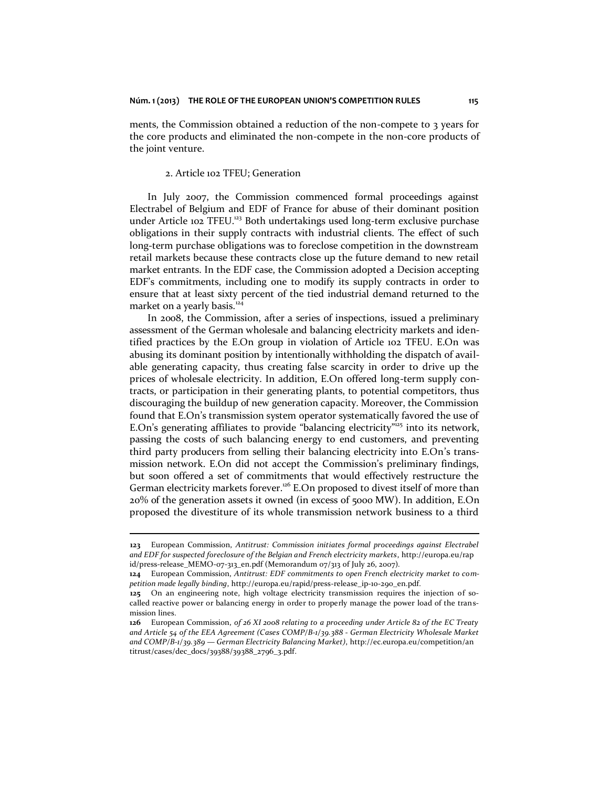ments, the Commission obtained a reduction of the non-compete to 3 years for the core products and eliminated the non-compete in the non-core products of the joint venture.

## 2. Article 102 TFEU; Generation

In July 2007, the Commission commenced formal proceedings against Electrabel of Belgium and EDF of France for abuse of their dominant position under Article 102 TFEU.<sup>123</sup> Both undertakings used long-term exclusive purchase obligations in their supply contracts with industrial clients. The effect of such long-term purchase obligations was to foreclose competition in the downstream retail markets because these contracts close up the future demand to new retail market entrants. In the EDF case, the Commission adopted a Decision accepting EDF's commitments, including one to modify its supply contracts in order to ensure that at least sixty percent of the tied industrial demand returned to the market on a yearly basis.<sup>124</sup>

In 2008, the Commission, after a series of inspections, issued a preliminary assessment of the German wholesale and balancing electricity markets and identified practices by the E.On group in violation of Article 102 TFEU. E.On was abusing its dominant position by intentionally withholding the dispatch of available generating capacity, thus creating false scarcity in order to drive up the prices of wholesale electricity. In addition, E.On offered long-term supply contracts, or participation in their generating plants, to potential competitors, thus discouraging the buildup of new generation capacity. Moreover, the Commission found that E.On's transmission system operator systematically favored the use of E.On's generating affiliates to provide "balancing electricity"<sup>125</sup> into its network, passing the costs of such balancing energy to end customers, and preventing third party producers from selling their balancing electricity into E.On's transmission network. E.On did not accept the Commission's preliminary findings, but soon offered a set of commitments that would effectively restructure the German electricity markets forever.<sup>126</sup> E.On proposed to divest itself of more than 20% of the generation assets it owned (in excess of 5000 MW). In addition, E.On proposed the divestiture of its whole transmission network business to a third

**<sup>123</sup>** European Commission, *Antitrust: Commission initiates formal proceedings against Electrabel and EDF for suspected foreclosure of the Belgian and French electricity markets*, http://europa.eu/rap id/press-release\_MEMO-07-313\_en.pdf (Memorandum 07/313 of July 26, 2007).

**<sup>124</sup>** European Commission, *Antitrust: EDF commitments to open French electricity market to competition made legally binding*, http://europa.eu/rapid/press-release\_ip-10-290\_en.pdf.

**<sup>125</sup>** On an engineering note, high voltage electricity transmission requires the injection of socalled reactive power or balancing energy in order to properly manage the power load of the transmission lines.

**<sup>126</sup>** European Commission, *of 26 XI 2008 relating to a proceeding under Article 82 of the EC Treaty and Article 54 of the EEA Agreement (Cases COMP/B-1/39.388 - German Electricity Wholesale Market and COMP/B-1/39.389 — German Electricity Balancing Market)*, http://ec.europa.eu/competition/an titrust/cases/dec\_docs/39388/39388\_2796\_3.pdf.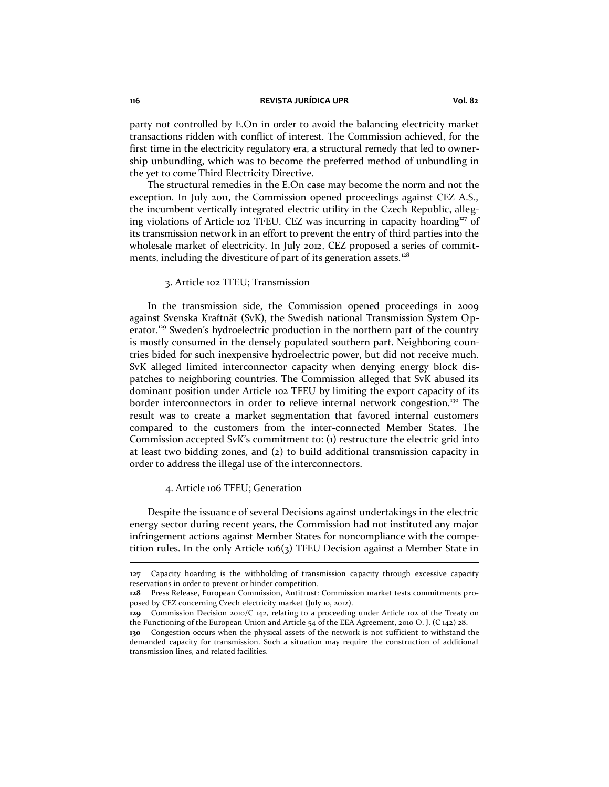party not controlled by E.On in order to avoid the balancing electricity market transactions ridden with conflict of interest. The Commission achieved, for the first time in the electricity regulatory era, a structural remedy that led to ownership unbundling, which was to become the preferred method of unbundling in the yet to come Third Electricity Directive.

The structural remedies in the E.On case may become the norm and not the exception. In July 2011, the Commission opened proceedings against CEZ A.S., the incumbent vertically integrated electric utility in the Czech Republic, alleging violations of Article 102 TFEU. CEZ was incurring in capacity hoarding<sup>127</sup> of its transmission network in an effort to prevent the entry of third parties into the wholesale market of electricity. In July 2012, CEZ proposed a series of commitments, including the divestiture of part of its generation assets.<sup>128</sup>

### 3. Article 102 TFEU; Transmission

In the transmission side, the Commission opened proceedings in 2009 against Svenska Kraftnät (SvK), the Swedish national Transmission System Operator.<sup>129</sup> Sweden's hydroelectric production in the northern part of the country is mostly consumed in the densely populated southern part. Neighboring countries bided for such inexpensive hydroelectric power, but did not receive much. SvK alleged limited interconnector capacity when denying energy block dispatches to neighboring countries. The Commission alleged that SvK abused its dominant position under Article 102 TFEU by limiting the export capacity of its border interconnectors in order to relieve internal network congestion.<sup>30</sup> The result was to create a market segmentation that favored internal customers compared to the customers from the inter-connected Member States. The Commission accepted SvK's commitment to: (1) restructure the electric grid into at least two bidding zones, and (2) to build additional transmission capacity in order to address the illegal use of the interconnectors.

### 4. Article 106 TFEU; Generation

Despite the issuance of several Decisions against undertakings in the electric energy sector during recent years, the Commission had not instituted any major infringement actions against Member States for noncompliance with the competition rules. In the only Article 106(3) TFEU Decision against a Member State in

**<sup>127</sup>** Capacity hoarding is the withholding of transmission capacity through excessive capacity reservations in order to prevent or hinder competition.

**<sup>128</sup>** Press Release, European Commission, Antitrust: Commission market tests commitments proposed by CEZ concerning Czech electricity market (July 10, 2012).

**<sup>129</sup>** Commission Decision 2010/C 142, relating to a proceeding under Article 102 of the Treaty on the Functioning of the European Union and Article 54 of the EEA Agreement, 2010 O. J. (C 142) 28.

**<sup>130</sup>** Congestion occurs when the physical assets of the network is not sufficient to withstand the demanded capacity for transmission. Such a situation may require the construction of additional transmission lines, and related facilities.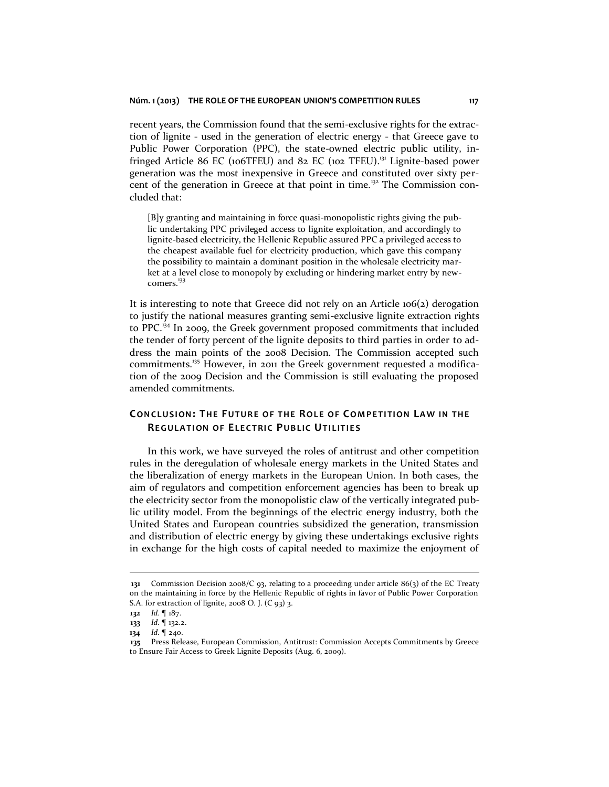recent years, the Commission found that the semi-exclusive rights for the extraction of lignite - used in the generation of electric energy - that Greece gave to Public Power Corporation (PPC), the state-owned electric public utility, infringed Article 86 EC (106TFEU) and 82 EC (102 TFEU).<sup>131</sup> Lignite-based power generation was the most inexpensive in Greece and constituted over sixty percent of the generation in Greece at that point in time.<sup>132</sup> The Commission concluded that:

[B]y granting and maintaining in force quasi-monopolistic rights giving the public undertaking PPC privileged access to lignite exploitation, and accordingly to lignite-based electricity, the Hellenic Republic assured PPC a privileged access to the cheapest available fuel for electricity production, which gave this company the possibility to maintain a dominant position in the wholesale electricity market at a level close to monopoly by excluding or hindering market entry by newcomers. 133

It is interesting to note that Greece did not rely on an Article  $106(z)$  derogation to justify the national measures granting semi-exclusive lignite extraction rights to PPC.<sup>134</sup> In 2009, the Greek government proposed commitments that included the tender of forty percent of the lignite deposits to third parties in order to address the main points of the 2008 Decision. The Commission accepted such commitments.<sup>35</sup> However, in 2011 the Greek government requested a modification of the 2009 Decision and the Commission is still evaluating the proposed amended commitments.

# **CON C L US I ON: THE FUT UR E OF T HE ROL E OF COM P E T I TI ON LA W IN T HE REGULATION OF ELECTRIC PUBLIC UTILITIES**

In this work, we have surveyed the roles of antitrust and other competition rules in the deregulation of wholesale energy markets in the United States and the liberalization of energy markets in the European Union. In both cases, the aim of regulators and competition enforcement agencies has been to break up the electricity sector from the monopolistic claw of the vertically integrated public utility model. From the beginnings of the electric energy industry, both the United States and European countries subsidized the generation, transmission and distribution of electric energy by giving these undertakings exclusive rights in exchange for the high costs of capital needed to maximize the enjoyment of

**<sup>131</sup>** Commission Decision 2008/C 93, relating to a proceeding under article 86(3) of the EC Treaty on the maintaining in force by the Hellenic Republic of rights in favor of Public Power Corporation S.A. for extraction of lignite, 2008 O. J. (C 93) 3.

**<sup>132</sup>** *Id.* ¶ 187.

**<sup>133</sup>** *Id*. ¶ 132.2.

**<sup>134</sup>** *Id*. ¶ 240.

**<sup>135</sup>** Press Release, European Commission, Antitrust: Commission Accepts Commitments by Greece to Ensure Fair Access to Greek Lignite Deposits (Aug. 6, 2009).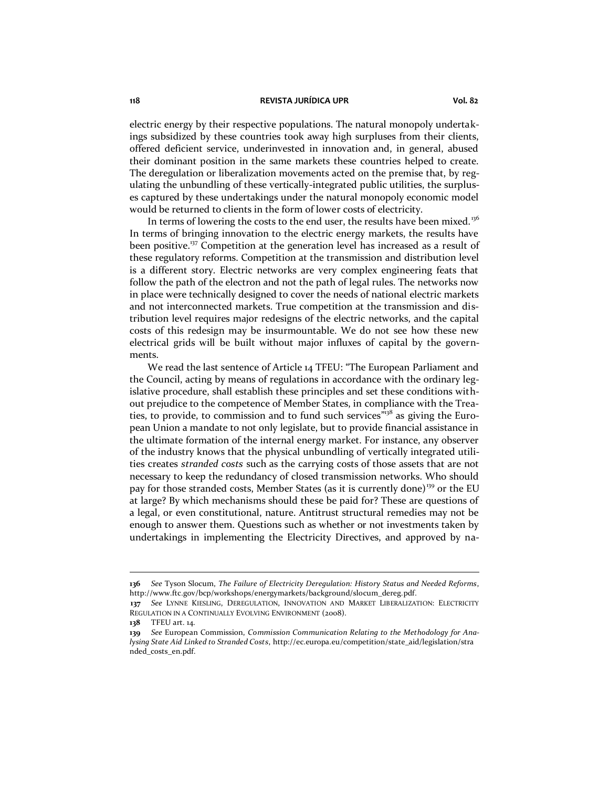electric energy by their respective populations. The natural monopoly undertakings subsidized by these countries took away high surpluses from their clients, offered deficient service, underinvested in innovation and, in general, abused their dominant position in the same markets these countries helped to create. The deregulation or liberalization movements acted on the premise that, by regulating the unbundling of these vertically-integrated public utilities, the surpluses captured by these undertakings under the natural monopoly economic model would be returned to clients in the form of lower costs of electricity.

In terms of lowering the costs to the end user, the results have been mixed.<sup>136</sup> In terms of bringing innovation to the electric energy markets, the results have been positive.<sup>37</sup> Competition at the generation level has increased as a result of these regulatory reforms. Competition at the transmission and distribution level is a different story. Electric networks are very complex engineering feats that follow the path of the electron and not the path of legal rules. The networks now in place were technically designed to cover the needs of national electric markets and not interconnected markets. True competition at the transmission and distribution level requires major redesigns of the electric networks, and the capital costs of this redesign may be insurmountable. We do not see how these new electrical grids will be built without major influxes of capital by the governments.

We read the last sentence of Article 14 TFEU: "The European Parliament and the Council, acting by means of regulations in accordance with the ordinary legislative procedure, shall establish these principles and set these conditions without prejudice to the competence of Member States, in compliance with the Treaties, to provide, to commission and to fund such services<sup>7938</sup> as giving the European Union a mandate to not only legislate, but to provide financial assistance in the ultimate formation of the internal energy market. For instance, any observer of the industry knows that the physical unbundling of vertically integrated utilities creates *stranded costs* such as the carrying costs of those assets that are not necessary to keep the redundancy of closed transmission networks. Who should pay for those stranded costs, Member States (as it is currently done)<sup>139</sup> or the EU at large? By which mechanisms should these be paid for? These are questions of a legal, or even constitutional, nature. Antitrust structural remedies may not be enough to answer them. Questions such as whether or not investments taken by undertakings in implementing the Electricity Directives, and approved by na-

**<sup>136</sup>** *See* Tyson Slocum, *The Failure of Electricity Deregulation: History Status and Needed Reforms*, http://www.ftc.gov/bcp/workshops/energymarkets/background/slocum\_dereg.pdf.

**<sup>137</sup>** *See* LYNNE KIESLING, DEREGULATION, INNOVATION AND MARKET LIBERALIZATION: ELECTRICITY REGULATION IN A CONTINUALLY EVOLVING ENVIRONMENT (2008).

**<sup>138</sup>** TFEU art. 14.

**<sup>139</sup>** *See* European Commission, *Commission Communication Relating to the Methodology for Analysing State Aid Linked to Stranded Costs*, http://ec.europa.eu/competition/state\_aid/legislation/stra nded\_costs\_en.pdf.